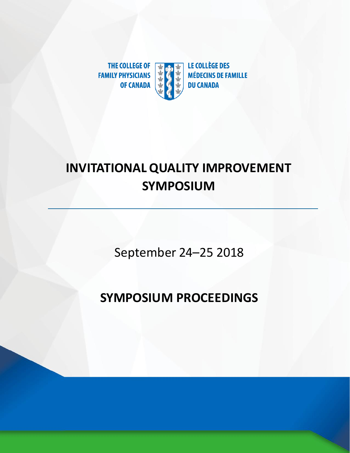

# **INVITATIONAL QUALITY IMPROVEMENT SYMPOSIUM**

September 24–25 2018

# **SYMPOSIUM PROCEEDINGS**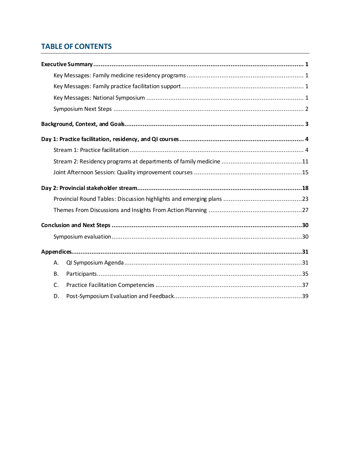# **TABLE OF CONTENTS**

| А.        |  |
|-----------|--|
| <b>B.</b> |  |
| C.        |  |
| D.        |  |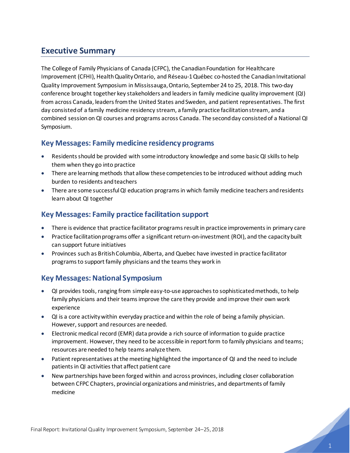# <span id="page-2-0"></span>**Executive Summary**

The College of Family Physicians of Canada (CFPC), the Canadian Foundation for Healthcare Improvement (CFHI), Health Quality Ontario, and Réseau-1 Québec co-hosted the Canadian Invitational Quality Improvement Symposium in Mississauga, Ontario, September 24 to 25, 2018. This two-day conference brought together key stakeholders and leaders in family medicine quality improvement (QI) from across Canada, leaders from the United States and Sweden, and patient representatives. The first day consisted of a family medicine residency stream, a family practice facilitation stream, and a combined sessionon QI courses and programs across Canada. The second day consisted of a National QI Symposium.

### <span id="page-2-1"></span>**Key Messages: Family medicine residency programs**

- Residents should be provided with some introductory knowledge and some basic QI skills to help them when they go into practice
- There are learning methods that allow these competencies to be introduced without adding much burden to residents and teachers
- There are some successful QI education programs in which family medicine teachers and residents learn about QI together

# <span id="page-2-2"></span>**Key Messages: Family practice facilitation support**

- There is evidence that practice facilitator programs result in practice improvements in primary care
- Practice facilitation programs offer a significant return-on-investment (ROI), and the capacity built can support future initiatives
- Provinces such as British Columbia, Alberta, and Quebec have invested in practice facilitator programs to support family physicians and the teams they work in

# <span id="page-2-3"></span>**Key Messages: National Symposium**

- QI provides tools, ranging from simple easy-to-use approaches to sophisticated methods, to help family physicians and their teams improve the care they provide and improve their own work experience
- QI is a core activity within everyday practice and within the role of being a family physician. However, support and resources are needed.
- Electronic medical record (EMR) data provide a rich source of information to guide practice improvement. However, they need to be accessible in report form to family physicians and teams; resources are needed to help teams analyze them.
- Patient representatives at the meeting highlighted the importance of QI and the need to include patients in QI activities that affect patient care
- New partnerships have been forged within and across provinces, including closer collaboration between CFPC Chapters, provincial organizations and ministries, and departments of family medicine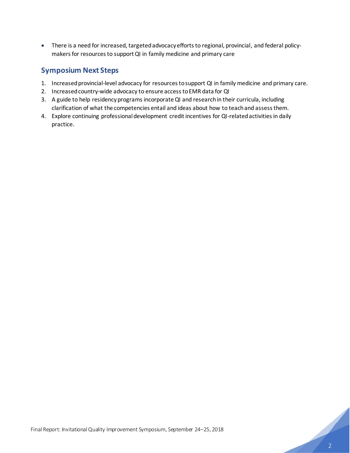• There is a need for increased, targeted advocacy efforts to regional, provincial, and federal policymakers for resources to support QI in family medicine and primary care

# <span id="page-3-0"></span>**Symposium Next Steps**

- 1. Increased provincial-level advocacy for resources to support QI in family medicine and primary care.
- 2. Increased country-wide advocacy to ensure access to EMR data for QI
- 3. A guide to help residency programs incorporateQI and research in their curricula, including clarification of what the competencies entail and ideas about how to teach and assess them.
- 4. Explore continuing professional development credit incentives for QI-related activities in daily practice.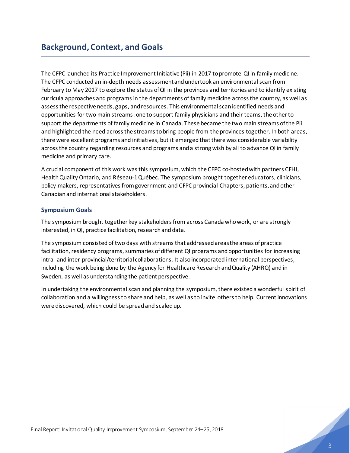<span id="page-4-0"></span>The CFPC launched its Practice Improvement Initiative (Pii) in 2017 to promote QI in family medicine. The CFPC conducted an in-depth needs assessment and undertook an environmental scan from February to May 2017 to explore the status of QI in the provinces and territories and to identify existing curricula approaches and programs in the departments of family medicine across the country, as well as assess the respective needs, gaps, and resources. This environmental scan identified needs and opportunities for two main streams: one to support family physicians and their teams, the other to support the departments of family medicine in Canada. These became the two main streams of the Pii and highlighted the need across the streams to bring people from the provinces together. In both areas, there were excellent programs and initiatives, but it emerged that there was considerable variability across the country regarding resources and programs and a strong wish by all to advance QI in family medicine and primary care.

A crucial component of this work was this symposium, which the CFPC co-hosted with partners CFHI, Health Quality Ontario, and Réseau-1 Québec. The symposium brought together educators, clinicians, policy-makers, representatives from government and CFPC provincial Chapters, patients, and other Canadian and international stakeholders.

### **Symposium Goals**

The symposium brought together key stakeholders from across Canada who work, or are strongly interested, in QI, practice facilitation, research and data.

The symposium consisted of two days with streams that addressedareas the areas of practice facilitation, residency programs, summaries of different QI programs and opportunities for increasing intra- and inter-provincial/territorial collaborations. It also incorporated international perspectives, including the work being done by the Agency for Healthcare Research and Quality (AHRQ) and in Sweden, as well as understanding the patient perspective.

In undertaking the environmental scan and planning the symposium, there existeda wonderful spirit of collaboration and a willingness to share and help, as well as to invite others to help. Current innovations were discovered, which could be spread and scaledup.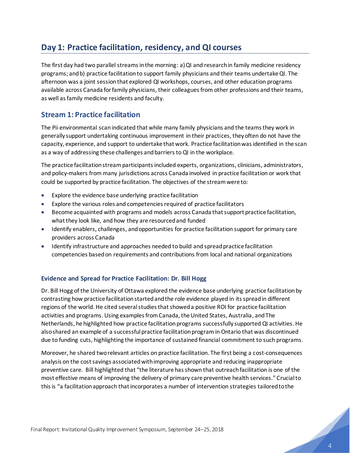# <span id="page-5-0"></span>**Day 1: Practice facilitation, residency, and QI courses**

The first day had two parallel streams in the morning: a) QI and research in family medicine residency programs; and b) practice facilitation to support family physicians and their teams undertake QI. The afternoon was a joint session that explored QI workshops, courses, and other education programs available across Canada for family physicians, their colleagues from other professions and their teams, as well as family medicine residents and faculty.

### <span id="page-5-1"></span>**Stream 1: Practice facilitation**

The Pii environmental scan indicated that while many family physicians and the teams they work in generally support undertaking continuous improvement in their practices, they often do not have the capacity, experience, and support to undertake that work. Practice facilitation was identified in the scan as a way of addressing these challenges and barriers to QI in the workplace.

The practice facilitation stream participants included experts, organizations, clinicians, administrators, and policy-makers from many jurisdictions across Canada involved in practice facilitation or work that could be supported by practice facilitation. The objectives of the stream were to:

- Explore the evidence base underlying practice facilitation
- Explore the various roles and competencies required of practice facilitators
- Become acquainted with programs and models across Canada that support practice facilitation, what they look like, and how they are resourced and funded
- Identify enablers, challenges, and opportunities for practice facilitation support for primary care providers across Canada
- Identify infrastructure and approaches needed to build and spread practice facilitation competencies based on requirements and contributions from local and national organizations

### **Evidence and Spread for Practice Facilitation: Dr. Bill Hogg**

Dr. Bill Hogg of the University of Ottawa explored the evidence base underlying practice facilitationby contrasting how practice facilitation started and the role evidence played in its spread in different regions of the world. He cited several studies that showeda positive ROI for practice facilitation activities and programs. Using examples from Canada, the United States, Australia, and The Netherlands, he highlighted how practice facilitation programs successfully supported QI activities. He also shared an example of a successful practice facilitation program in Ontario that was discontinued due to funding cuts, highlighting the importance of sustained financial commitment to such programs.

Moreover, he shared two relevant articles on practice facilitation. The first being a cost-consequences analysis on the cost savings associated with improving appropriate and reducing inappropriate preventive care. Bill highlighted that "the literature has shown that outreach facilitation is one of the most effective means of improving the delivery of primary care preventive health services." Crucial to this is "a facilitation approach that incorporates a number of intervention strategies tailored to the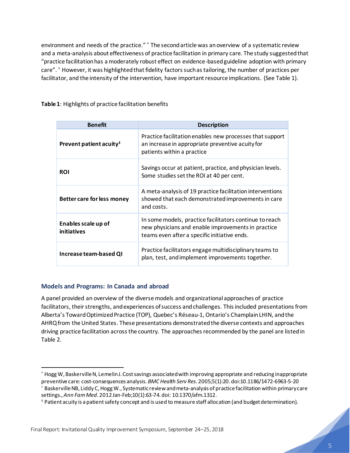environment and needs of the practice." \* The second article was an overview of a systematic review and a meta-analysis about effectiveness of practice facilitation in primary care. The study suggested that "practice facilitation has a moderately robust effect on evidence-based guideline adoption with primary care". † However, it was highlighted that fidelity factors such as tailoring, the number of practices per facilitator, and the intensity of the intervention, have important resource implications. (See Table 1).

| <b>Benefit</b>                      | <b>Description</b>                                                                                                                                            |  |
|-------------------------------------|---------------------------------------------------------------------------------------------------------------------------------------------------------------|--|
| Prevent patient acuity <sup>#</sup> | Practice facilitation enables new processes that support<br>an increase in appropriate preventive acuity for<br>patients within a practice                    |  |
| <b>ROI</b>                          | Savings occur at patient, practice, and physician levels.<br>Some studies set the ROI at 40 per cent.                                                         |  |
| Better care for less money          | A meta-analysis of 19 practice facilitation interventions<br>showed that each demonstrated improvements in care<br>and costs.                                 |  |
| Enables scale up of<br>initiatives  | In some models, practice facilitators continue to reach<br>new physicians and enable improvements in practice<br>teams even after a specific initiative ends. |  |
| Increase team-based QI              | Practice facilitators engage multidisciplinary teams to<br>plan, test, and implement improvements together.                                                   |  |

**Table 1**: Highlights of practice facilitation benefits

### **Models and Programs: In Canada and abroad**

A panel provided an overview of the diverse models and organizational approaches of practice facilitators, their strengths, and experiences of success and challenges. This included presentations from Alberta's Toward Optimized Practice (TOP), Quebec's Réseau-1, Ontario's Champlain LHIN, and the AHRQ from the United States. These presentations demonstrated the diverse contexts and approaches driving practice facilitation across the country. The approaches recommended by the panel are listed in Table 2.

<sup>\*</sup> Hogg W, Baskerville N, Lemelin J. Cost savings associated with improving appropriate and reducing inappropriate preventive care: cost-consequences analysis. *BMC Health Serv Res*. 2005;5(1):20. doi:10.1186/1472-6963-5-20 † [Baskerville NB,](https://www.ncbi.nlm.nih.gov/pubmed/?term=Baskerville%20NB%5BAuthor%5D&cauthor=true&cauthor_uid=22230833) [Liddy C](https://www.ncbi.nlm.nih.gov/pubmed/?term=Liddy%20C%5BAuthor%5D&cauthor=true&cauthor_uid=22230833)[,Hogg W](https://www.ncbi.nlm.nih.gov/pubmed/?term=Hogg%20W%5BAuthor%5D&cauthor=true&cauthor_uid=22230833)., Systematic review and meta-analysis of practice facilitation within primary care settings., *[Ann Fam Med](https://www.ncbi.nlm.nih.gov/pubmed/22230833)*. 2012 Jan-Feb;10(1):63-74. doi: 10.1370/afm.1312.

<sup>‡</sup> Patient acuity is a patient safety concept and is used to measure staff allocation (and budget determination).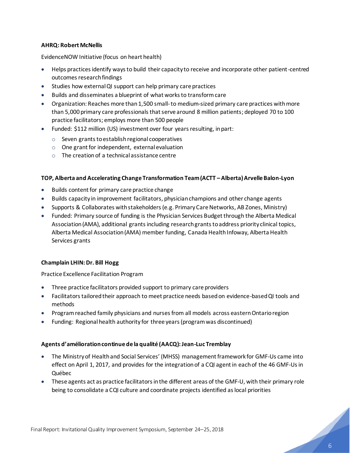### **AHRQ: Robert McNellis**

EvidenceNOW Initiative (focus on heart health)

- Helps practices identify ways to build their capacity to receive and incorporate other patient-centred outcomes research findings
- Studies how external QI support can help primary care practices
- Builds and disseminates a blueprint of what works to transform care
- Organization: Reaches more than 1,500 small-to medium-sized primary care practices with more than 5,000 primary care professionals that serve around 8 million patients; deployed 70 to 100 practice facilitators; employs more than 500 people
- Funded: \$112 million (US) investment over four years resulting, in part:
	- o Seven grants to establish regional cooperatives
	- o One grant for independent, external evaluation
	- $\circ$  The creation of a technical assistance centre

### **TOP, Alberta and Accelerating Change Transformation Team (ACTT –Alberta)Arvelle Balon-Lyon**

- Builds content for primary care practice change
- Builds capacity in improvement facilitators, physician champions and other change agents
- Supports & Collaborates with stakeholders (e.g. Primary Care Networks, AB Zones, Ministry)
- Funded: Primary source of funding is the Physician Services Budget through the Alberta Medical Association (AMA), additional grants including research grants to address priority clinical topics, Alberta Medical Association (AMA) member funding, Canada Health Infoway, Alberta Health Services grants

### **Champlain LHIN: Dr. Bill Hogg**

Practice Excellence Facilitation Program

- Three practice facilitators provided support to primary care providers
- Facilitators tailored their approach to meet practice needs based on evidence-based QI tools and methods
- Program reached family physicians and nurses from all models across eastern Ontario region
- Funding: Regional health authority for three years (program was discontinued)

### **Agents d'amélioration continue de la qualité (AACQ): Jean-Luc Tremblay**

- The Ministry of Health and Social Services' (MHSS) management framework for GMF-Us came into effect on April 1, 2017, and provides for the integration of a CQI agent in each of the 46 GMF-Us in Québec
- These agents act as practice facilitators in the different areas of the GMF-U, with their primary role being to consolidate a CQI culture and coordinate projects identified as local priorities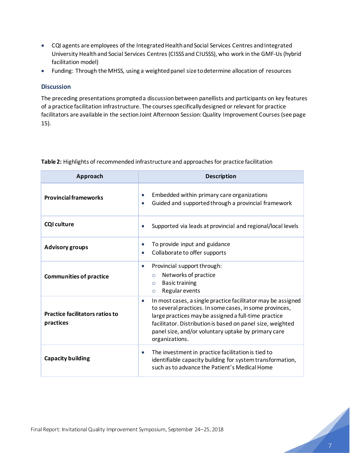- CQI agents are employees of the Integrated Health and Social Services Centres and Integrated University Health and Social Services Centres (CISSS and CIUSSS), who work in the GMF-Us (hybrid facilitation model)
- Funding: Through the MHSS, using a weighted panel size to determine allocation of resources

### **Discussion**

The preceding presentations prompted a discussion between panellists and participants on key features of a practice facilitation infrastructure. The courses specifically designed or relevant for practice facilitators are available in the section Joint Afternoon Session: Quality Improvement Courses (see page [15\)](#page-15-0).

| Approach                                            | <b>Description</b>                                                                                                                                                                                                                                                                                                                  |  |
|-----------------------------------------------------|-------------------------------------------------------------------------------------------------------------------------------------------------------------------------------------------------------------------------------------------------------------------------------------------------------------------------------------|--|
| <b>Provincial frameworks</b>                        | Embedded within primary care organizations<br>$\bullet$<br>Guided and supported through a provincial framework<br>$\bullet$                                                                                                                                                                                                         |  |
| <b>CQI culture</b>                                  | Supported via leads at provincial and regional/local levels                                                                                                                                                                                                                                                                         |  |
| <b>Advisory groups</b>                              | To provide input and guidance<br>$\bullet$<br>Collaborate to offer supports<br>$\bullet$                                                                                                                                                                                                                                            |  |
| <b>Communities of practice</b>                      | Provincial support through:<br>$\bullet$<br>Networks of practice<br>$\circ$<br><b>Basic training</b><br>$\circ$<br>Regular events<br>$\circ$                                                                                                                                                                                        |  |
| <b>Practice facilitators ratios to</b><br>practices | In most cases, a single practice facilitator may be assigned<br>$\bullet$<br>to several practices. In some cases, in some provinces,<br>large practices may be assigned a full-time practice<br>facilitator. Distribution is based on panel size, weighted<br>panel size, and/or voluntary uptake by primary care<br>organizations. |  |
| <b>Capacity building</b>                            | The investment in practice facilitation is tied to<br>$\bullet$<br>identifiable capacity building for system transformation,<br>such as to advance the Patient's Medical Home                                                                                                                                                       |  |

**Table 2:** Highlights of recommended infrastructure and approaches for practice facilitation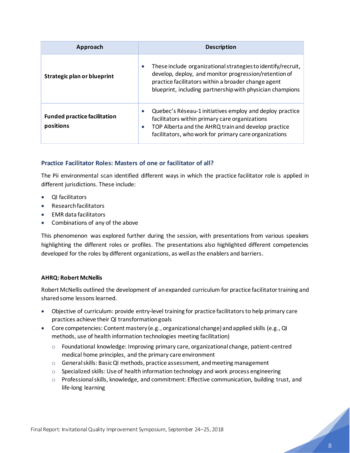| Approach                                         | <b>Description</b>                                                                                                                                                                                                                                     |
|--------------------------------------------------|--------------------------------------------------------------------------------------------------------------------------------------------------------------------------------------------------------------------------------------------------------|
| Strategic plan or blueprint                      | These include organizational strategies to identify/recruit,<br>$\bullet$<br>develop, deploy, and monitor progression/retention of<br>practice facilitators within a broader change agent<br>blueprint, including partnership with physician champions |
| <b>Funded practice facilitation</b><br>positions | Quebec's Réseau-1 initiatives employ and deploy practice<br>$\bullet$<br>facilitators within primary care organizations<br>TOP Alberta and the AHRQ train and develop practice<br>facilitators, who work for primary care organizations                |

### **Practice Facilitator Roles: Masters of one or facilitator of all?**

The Pii environmental scan identified different ways in which the practice facilitator role is applied in different jurisdictions. These include:

- QI facilitators
- Research facilitators
- EMR data facilitators
- Combinations of any of the above

This phenomenon was explored further during the session, with presentations from various speakers highlighting the different roles or profiles. The presentations also highlighted different competencies developed for the roles by different organizations, as well as the enablers and barriers.

### **AHRQ: Robert McNellis**

Robert McNellis outlined the development of an expanded curriculum for practice facilitator training and shared some lessons learned.

- Objective of curriculum: provide entry-level training for practice facilitators to help primary care practices achieve their QI transformation goals
- Core competencies: Content mastery (e.g., organizational change) and applied skills (e.g., QI methods, use of health information technologies meeting facilitation)
	- $\circ$  Foundational knowledge: Improving primary care, organizational change, patient-centred medical home principles, and the primary care environment
	- o General skills: Basic QI methods, practice assessment, and meeting management
	- $\circ$  Specialized skills: Use of health information technology and work process engineering
	- $\circ$  Professional skills, knowledge, and commitment: Effective communication, building trust, and life-long learning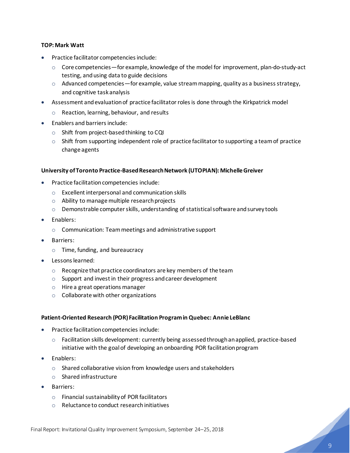### **TOP: Mark Watt**

- Practice facilitator competencies include:
	- $\circ$  Core competencies—for example, knowledge of the model for improvement, plan-do-study-act testing, and using data to guide decisions
	- $\circ$  Advanced competencies—for example, value stream mapping, quality as a business strategy, and cognitive task analysis
- Assessment and evaluation of practice facilitatorroles is done through the Kirkpatrick model
	- o Reaction, learning, behaviour, and results
- Enablers and barriers include:
	- o Shift from project-based thinking to CQI
	- $\circ$  Shift from supporting independent role of practice facilitator to supporting a team of practice change agents

### **University of Toronto Practice-Based Research Network (UTOPIAN): Michelle Greiver**

- Practice facilitation competencies include:
	- o Excellent interpersonal and communication skills
	- o Ability to manage multiple research projects
	- $\circ$  Demonstrable computer skills, understanding of statistical software and survey tools
- Enablers:
	- o Communication: Team meetings and administrative support
- Barriers:
	- o Time, funding, and bureaucracy
- Lessons learned:
	- o Recognize that practice coordinators are key members of the team
	- $\circ$  Support and invest in their progress and career development
	- o Hire a great operations manager
	- o Collaborate with other organizations

### **Patient-Oriented Research (POR) Facilitation Program in Quebec: Annie LeBlanc**

- Practice facilitation competencies include:
	- o Facilitation skills development: currently being assessed through an applied, practice-based initiative with the goal of developing an onboarding POR facilitation program
- Enablers:
	- o Shared collaborative vision from knowledge users and stakeholders
	- o Shared infrastructure
- Barriers:
	- o Financial sustainability of POR facilitators
	- o Reluctance to conduct research initiatives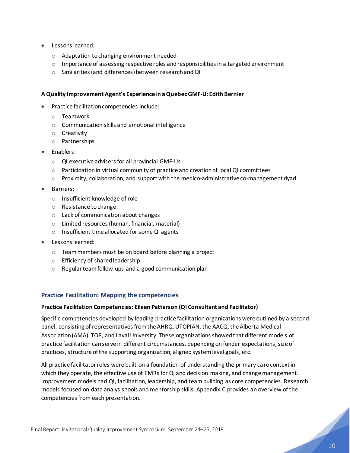- Lessons learned:
	- o Adaptation to changing environment needed
	- $\circ$  Importance of assessing respective roles and responsibilities in a targeted environment
	- o Similarities (and differences) between research and QI

### **A Quality Improvement Agent's Experience in a Quebec GMF-U: Edith Bernier**

- Practice facilitation competencies include:
	- o Teamwork
	- o Communication skills and emotional intelligence
	- o Creativity
	- o Partnerships
- Enablers:
	- o QI executive advisers for all provincial GMF-Us
	- $\circ$  Participation in virtual community of practice and creation of local QI committees
	- o Proximity, collaboration, and support with the medico-administrative co-management dyad
- Barriers:
	- o Insufficient knowledge of role
	- o Resistance to change
	- o Lack of communication about changes
	- o Limited resources (human, financial, material)
	- o Insufficient time allocated for some QI agents
- Lessons learned:
	- o Team members must be on board before planning a project
	- o Efficiency of shared leadership
	- o Regular team follow-ups and a good communication plan

### **Practice Facilitation: Mapping the competencies**

### **Practice Facilitation Competencies: Eileen Patterson (QI Consultant and Facilitator)**

Specific competencies developed by leading practice facilitation organizations were outlined by a second panel, consisting of representatives fromthe AHRQ, UTOPIAN, the AACQ, the Alberta Medical Association (AMA), TOP, and Laval University. These organizations showed that different models of practice facilitation can serve in different circumstances, depending on funder expectations, size of practices, structure of the supporting organization, aligned system level goals, etc.

All practice facilitator roles were built on a foundation of understanding the primary care context in which they operate, the effective use of EMRs for QI and decision making, and change management. Improvement models had QI, facilitation, leadership, and teambuilding as core competencies. Research models focused on data analysis tools and mentorship skills. Appendix C provides an overview of the competencies from each presentation.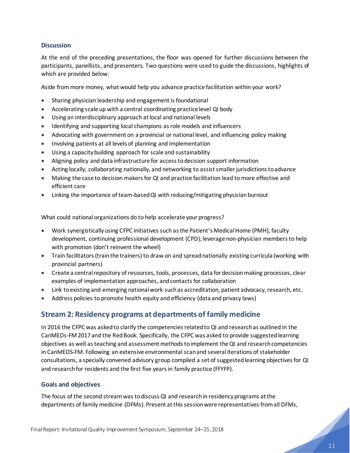### **Discussion**

At the end of the preceding presentations, the floor was opened for further discussions between the participants, panellists, and presenters. Two questions were used to guide the discussions, highlights of which are provided below:

Aside from more money, what would help you advance practice facilitation within your work?

- Sharing physician leadership and engagement is foundational
- Accelerating scale up with a central coordinating practice level QI body
- Using an interdisciplinary approach at local and national levels
- Identifying and supporting local champions as role models and influencers
- Advocating with government on a provincial or national level, and influencing policy making
- Involving patients at all levels of planning and implementation
- Using a capacity building approach for scale and sustainability
- Aligning policy and data infrastructure for access to decision support information
- Acting locally, collaborating nationally, and networking to assist smaller jurisdictions to advance
- Making the case to decision makers for QI and practice facilitation lead to more effective and efficient care
- Linking the importance of team-based QI with reducing/mitigating physician burnout

What could national organizations do to help accelerate your progress?

- Work synergistically using CFPC initiatives such as the Patient's Medical Home (PMH), faculty development, continuing professional development (CPD); leverage non-physician members to help with promotion (don't reinvent the wheel)
- Train facilitators (train the trainers) to draw on and spread nationally existing curricula (working with provincial partners)
- Create a central repository of resources, tools, processes, data for decision making processes, clear examples of implementation approaches, and contacts for collaboration
- Link to existing and emerging national work such as accreditation, patient advocacy, research, etc.
- Address policies to promote health equity and efficiency (data and privacy laws)

# <span id="page-12-0"></span>**Stream 2: Residency programs at departments of family medicine**

In 2016 the CFPC was askedto clarify the competencies related to QI and research as outlined in the CanMEDs-FM 2017 and the Red Book. Specifically, the CFPC was asked to provide suggested learning objectives as well as teaching and assessment methods to implement the QI and research competencies in CanMEDS-FM. Following an extensive environmental scan and several iterations of stakeholder consultations, a specially convened advisory group compiled a set of suggested learning objectives for QI and research for residents and the first five years in family practice (FFYFP).

### **Goals and objectives**

The focus of the second stream was to discuss QI and research in residency programs at the departments of family medicine (DFMs). Present at this session were representatives fromall DFMs,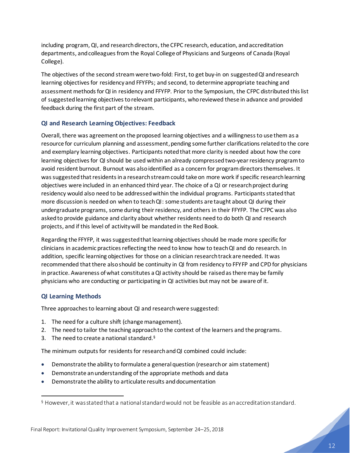including program, QI, and research directors, the CFPC research, education, and accreditation departments, and colleaguesfrom the Royal College of Physicians and Surgeons of Canada (Royal College).

The objectives of the second streamwere two-fold: First, to get buy-in on suggested QI and research learning objectives for residency and FFYFPs; and second, to determine appropriate teaching and assessment methods for QI in residency and FFYFP. Prior to the Symposium, the CFPC distributed this list of suggested learning objectives to relevant participants, who reviewed these in advance and provided feedback during the first part of the stream.

### **QI and Research Learning Objectives: Feedback**

Overall, there was agreement on the proposed learning objectives and a willingness to use them as a resource for curriculum planning and assessment, pending some further clarifications related to the core and exemplary learning objectives. Participants notedthat more clarity is needed about how the core learning objectives for QI should be used within an already compressed two-year residency program to avoid resident burnout. Burnout was also identified as a concern for program directors themselves. It was suggested that residents in a research stream could take on more work if specific research learning objectives were included in an enhanced third year. The choice of a QI or research project during residency would also need to be addressed within the individual programs. Participants stated that more discussion is needed on when to teach QI: some students are taught about QI during their undergraduate programs, some during their residency, and others in their FFYFP. The CFPC was also askedto provide guidance and clarity about whether residents need to do both QI and research projects, and if this level of activity will be mandated in the Red Book.

Regarding the FFYFP, it was suggested that learning objectives should be made more specific for clinicians in academic practices reflecting the need to know how to teach QI and do research. In addition, specific learning objectives for those on a clinician research track are needed. It was recommended that there also should be continuity in QI from residency to FFYFP and CPD for physicians in practice. Awareness of what constitutes a QI activity should be raised as there may be family physicians who are conducting or participating in QI activities but may not be aware of it.

### **QI Learning Methods**

Three approaches to learning about QI and research were suggested:

- 1. The need for a culture shift (change management).
- 2. The need to tailor the teaching approach to the context of the learners and the programs.
- 3. The need to create a national standard. $§$

The minimum outputs for residents for research and QI combined could include:

- Demonstrate the ability to formulate a general question (research or aim statement)
- Demonstrate an understanding of the appropriate methods and data
- Demonstrate the ability to articulate results and documentation

<sup>§</sup> However, it was stated that a national standard would not be feasible as an accreditation standard.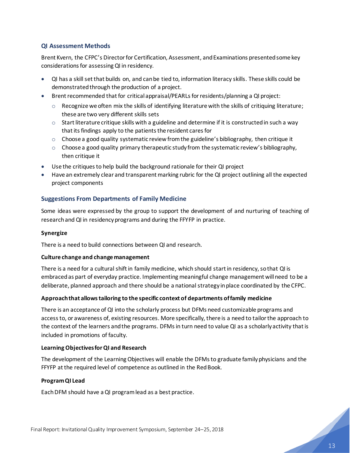### **QI Assessment Methods**

Brent Kvern, the CFPC's Director for Certification, Assessment, and Examinations presented some key considerations for assessing QI in residency.

- QI has a skill set that builds on, and can be tied to, information literacy skills. These skills could be demonstrated through the production of a project.
- Brent recommended that for critical appraisal/PEARLs for residents/planning a QI project:
	- o Recognize we often mix the skills of identifying literature with the skills of critiquing literature; these are two very different skills sets
	- $\circ$  Start literature critique skills with a guideline and determine if it is constructed in such a way that its findings apply to the patients the resident cares for
	- o Choose a good quality systematic review from the guideline's bibliography, then critique it
	- $\circ$  Choose a good quality primary therapeutic study from the systematic review's bibliography, then critique it
- Use the critiques to help build the background rationale for their QI project
- Have an extremely clear and transparent marking rubric for the QI project outlining all the expected project components

### **Suggestions From Departments of Family Medicine**

Some ideas were expressed by the group to support the development of and nurturing of teaching of research and QI in residency programs and during the FFYFP in practice.

### **Synergize**

There is a need to build connections between QI and research.

### **Culture change and change management**

There is a need for a cultural shift in family medicine, which should start in residency, so that QI is embracedas part of everyday practice. Implementing meaningful change management will need to be a deliberate, planned approach and there should be a national strategy in place coordinated by the CFPC.

### **Approach that allows tailoring to the specific context of departments of family medicine**

There is an acceptance of QI into the scholarly process but DFMs need customizable programs and access to, or awareness of, existing resources. More specifically, there is a need to tailor the approach to the context of the learners and the programs. DFMs in turn need to value QI as a scholarly activity that is included in promotions of faculty.

### **Learning Objectives for QI and Research**

The development of the Learning Objectives will enable the DFMs to graduate family physicians and the FFYFP at the required level of competence as outlined in the Red Book.

### **Program QI Lead**

EachDFM should have a QI program lead as a best practice.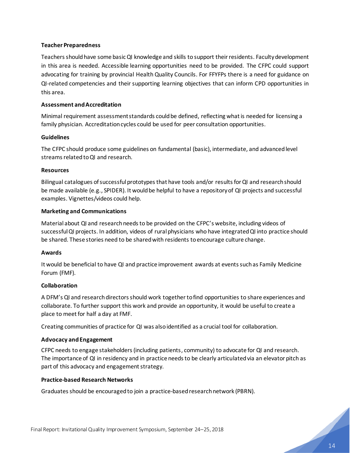### **Teacher Preparedness**

Teachers should have some basic QI knowledge and skills to support their residents. Faculty development in this area is needed. Accessible learning opportunities need to be provided. The CFPC could support advocating for training by provincial Health Quality Councils. For FFYFPs there is a need for guidance on QI-related competencies and their supporting learning objectives that can inform CPD opportunities in this area.

### **Assessment and Accreditation**

Minimal requirement assessment standards could be defined, reflecting what is needed for licensing a family physician. Accreditation cycles could be used for peer consultation opportunities.

### **Guidelines**

The CFPC should produce some guidelines on fundamental (basic), intermediate, and advancedlevel streams related to QI and research.

### **Resources**

Bilingual catalogues of successful prototypes that have tools and/or results for QI and research should be made available (e.g., SPIDER). It would be helpful to have a repository of QI projects and successful examples. Vignettes/videos could help.

### **Marketing and Communications**

Material about QI and research needs to be provided on the CFPC's website, including videos of successful QI projects. In addition, videos of rural physicians who have integrated QI into practice should be shared. These stories need to be shared with residents to encourage culture change.

### **Awards**

It would be beneficial to have QI and practice improvement awards at events such as Family Medicine Forum (FMF).

### **Collaboration**

A DFM's QI and research directors should work together tofind opportunities to share experiences and collaborate. To further support this work and provide an opportunity, it would be useful to create a place to meet for half a day at FMF.

Creating communities of practice for QI was also identified as a crucial tool for collaboration.

### **Advocacy and Engagement**

CFPC needs to engage stakeholders (including patients, community) to advocate for QI and research. The importance of QI in residency and in practice needs to be clearly articulated via an elevator pitch as part of this advocacy and engagement strategy.

### **Practice-based Research Networks**

<span id="page-15-0"></span>Graduatesshould be encouraged to join a practice-based research network (PBRN).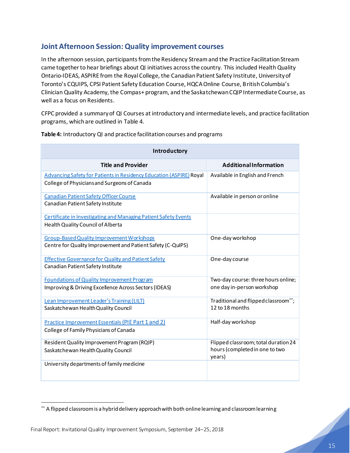# **Joint Afternoon Session: Quality improvement courses**

In the afternoon session, participants from the Residency Stream and the Practice Facilitation Stream came together to hear briefings about QI initiatives across the country. This included Health Quality Ontario-IDEAS, ASPIRE from the Royal College, the Canadian Patient Safety Institute, University of Toronto's CQUIPS, CPSI Patient Safety Education Course, HQCA Online Course, British Columbia's Clinician Quality Academy, the Compas+ program, and the Saskatchewan CQIP Intermediate Course, as well as a focus on Residents.

CFPC provided a summary of QI Courses at introductory and intermediate levels, and practice facilitation programs, which are outlined in Table 4.

| Introductory                                                                                                               |                                                                                  |  |  |
|----------------------------------------------------------------------------------------------------------------------------|----------------------------------------------------------------------------------|--|--|
| <b>Title and Provider</b>                                                                                                  | <b>Additional Information</b>                                                    |  |  |
| <b>Advancing Safety for Patients in Residency Education (ASPIRE) Royal</b><br>College of Physicians and Surgeons of Canada | Available in English and French                                                  |  |  |
| <b>Canadian Patient Safety Officer Course</b><br>Canadian Patient Safety Institute                                         | Available in person or online                                                    |  |  |
| <b>Certificate in Investigating and Managing Patient Safety Events</b><br>Health Quality Council of Alberta                |                                                                                  |  |  |
| <b>Group-Based Quality Improvement Workshops</b><br>Centre for Quality Improvement and Patient Safety (C-QuIPS)            | One-day workshop                                                                 |  |  |
| <b>Effective Governance for Quality and Patient Safety</b><br>Canadian Patient Safety Institute                            | One-day course                                                                   |  |  |
| <b>Foundations of Quality Improvement Program</b><br>Improving & Driving Excellence Across Sectors (IDEAS)                 | Two-day course: three hours online;<br>one day in-person workshop                |  |  |
| Lean Improvement Leader's Training (LILT)<br>Saskatchewan Health Quality Council                                           | Traditional and flipped classroom**;<br>12 to 18 months                          |  |  |
| <b>Practice Improvement Essentials (PIE Part 1 and 2)</b><br>College of Family Physicians of Canada                        | Half-day workshop                                                                |  |  |
| Resident Quality Improvement Program (RQIP)<br>Saskatchewan Health Quality Council                                         | Flipped classroom; total duration 24<br>hours (completed in one to two<br>years) |  |  |
| University departments of family medicine                                                                                  |                                                                                  |  |  |

**Table 4:** Introductory QI and practice facilitation courses and programs

<sup>\*\*</sup> A flipped classroom is a hybrid delivery approach with both online learning and classroom learning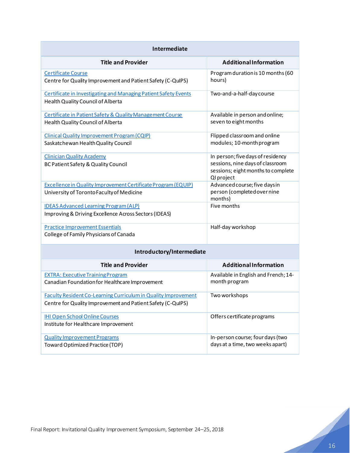| Intermediate                                                                                                                         |                                                                                                                           |  |  |
|--------------------------------------------------------------------------------------------------------------------------------------|---------------------------------------------------------------------------------------------------------------------------|--|--|
| <b>Title and Provider</b>                                                                                                            | <b>Additional Information</b>                                                                                             |  |  |
| <b>Certificate Course</b><br>Centre for Quality Improvement and Patient Safety (C-QuIPS)                                             | Program duration is 10 months (60<br>hours)                                                                               |  |  |
| <b>Certificate in Investigating and Managing Patient Safety Events</b><br>Health Quality Council of Alberta                          | Two-and-a-half-day course                                                                                                 |  |  |
| Certificate in Patient Safety & Quality Management Course<br>Health Quality Council of Alberta                                       | Available in person and online;<br>seven to eight months                                                                  |  |  |
| Clinical Quality Improvement Program (CQIP)<br>Saskatchewan Health Quality Council                                                   | Flipped classroom and online<br>modules; 10-month program                                                                 |  |  |
| <b>Clinician Quality Academy</b><br>BC Patient Safety & Quality Council                                                              | In person; five days of residency<br>sessions, nine days of classroom<br>sessions; eight months to complete<br>QI project |  |  |
| <b>Excellence in Quality Improvement Certificate Program (EQUIP)</b><br>University of Toronto Faculty of Medicine                    | Advanced course; five daysin<br>person (completed overnine<br>months)                                                     |  |  |
| <b>IDEAS Advanced Learning Program (ALP)</b><br>Improving & Driving Excellence Across Sectors (IDEAS)                                | Five months                                                                                                               |  |  |
| <b>Practice Improvement Essentials</b><br>College of Family Physicians of Canada                                                     | Half-day workshop                                                                                                         |  |  |
| Introductory/Intermediate                                                                                                            |                                                                                                                           |  |  |
| <b>Title and Provider</b>                                                                                                            | <b>Additional Information</b>                                                                                             |  |  |
| <b>EXTRA: Executive Training Program</b><br>Canadian Foundation for Healthcare Improvement                                           | Available in English and French; 14-<br>month program                                                                     |  |  |
| <b>Faculty Resident Co-Learning Curriculum in Quality Improvement</b><br>Centre for Quality Improvement and Patient Safety (C-QuIPS) | Two workshops                                                                                                             |  |  |
| <b>IHI Open School Online Courses</b><br>Institute for Healthcare Improvement                                                        | Offers certificate programs                                                                                               |  |  |
| <b>Quality Improvement Programs</b><br><b>Toward Optimized Practice (TOP)</b>                                                        | In-person course; four days (two<br>days at a time, two weeks apart)                                                      |  |  |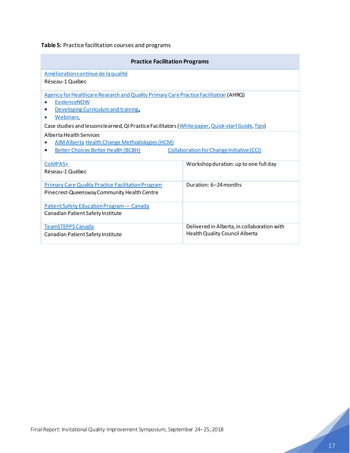**Table 5:** Practice facilitation courses and programs

| <b>Practice Facilitation Programs</b>                                                                                                                                                                                                                                     |                                                                               |  |  |
|---------------------------------------------------------------------------------------------------------------------------------------------------------------------------------------------------------------------------------------------------------------------------|-------------------------------------------------------------------------------|--|--|
| Amélioration continue de la qualité<br>Réseau-1 Québec                                                                                                                                                                                                                    |                                                                               |  |  |
| Agency for Healthcare Research and Quality Primary Care Practice Facilitation (AHRQ)<br>EvidenceNOW<br>Developing Curriculum and training,<br>Webinars,<br>$\bullet$<br>Case studies and lessons learned, QI Practice Facilitators (White paper, Quick-start Guide, Tips) |                                                                               |  |  |
| Alberta Health Services<br><b>AIM Alberta Health Change Methodologies (HCM)</b><br><b>Collaboration for Change Initiative (CCI)</b><br><b>Better Choices Better Health (BCBH)</b><br>0                                                                                    |                                                                               |  |  |
| CoMPAS+<br>Réseau-1 Québec                                                                                                                                                                                                                                                | Workshop duration: up to one full day                                         |  |  |
| <b>Primary Care Quality Practice Facilitation Program</b><br>Pinecrest-Queensway Community Health Centre                                                                                                                                                                  | Duration: 6-24 months                                                         |  |  |
| Patient Safety Education Program - Canada<br>Canadian Patient Safety Institute                                                                                                                                                                                            |                                                                               |  |  |
| <b>TeamSTEPPS Canada</b><br>Canadian Patient Safety Institute                                                                                                                                                                                                             | Delivered in Alberta, in collaboration with<br>Health Quality Council Alberta |  |  |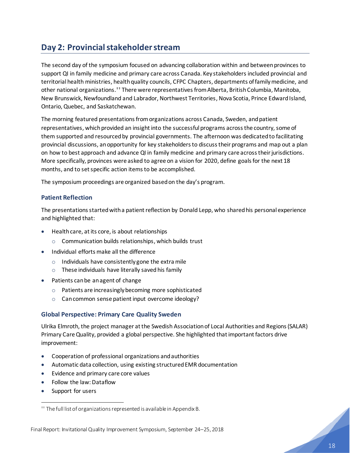# <span id="page-19-0"></span>**Day 2: Provincial stakeholder stream**

The second day of the symposium focused on advancing collaboration within and between provinces to support QI in family medicine and primary care across Canada. Key stakeholders included provincial and territorial health ministries, health quality councils, CFPC Chapters, departments of family medicine, and other national organizations.<sup>††</sup> There were representatives from Alberta, British Columbia, Manitoba, New Brunswick, Newfoundland and Labrador, Northwest Territories, Nova Scotia, Prince Edward Island, Ontario, Quebec, and Saskatchewan.

The morning featured presentations from organizations across Canada, Sweden, and patient representatives, which provided an insight into the successful programs across the country, some of them supported and resourced by provincial governments. The afternoon was dedicated to facilitating provincial discussions, an opportunity for key stakeholders to discuss their programs and map out a plan on how to best approach and advance QI in family medicine and primary care across their jurisdictions. More specifically, provinces were asked to agree on a vision for 2020, define goals for the next 18 months, and to set specific action items to be accomplished.

The symposium proceedings are organized based on the day's program.

### **Patient Reflection**

The presentations started with a patient reflection by Donald Lepp, who shared his personal experience and highlighted that:

- Health care, at its core, is about relationships
	- o Communication builds relationships, which builds trust
- Individual efforts make all the difference
	- $\circ$  Individuals have consistently gone the extra mile
	- $\circ$  These individuals have literally saved his family
- Patients can be an agent of change
	- o Patients are increasingly becoming more sophisticated
	- o Can common sense patient input overcome ideology?

### **Global Perspective: Primary Care Quality Sweden**

Ulrika Elmroth, the project manager at the Swedish Association of Local Authorities and Regions (SALAR) Primary Care Quality, provided a global perspective. She highlighted that important factors drive improvement:

- Cooperation of professional organizations and authorities
- Automatic data collection, using existing structured EMR documentation
- Evidence and primary care core values
- Follow the law: Dataflow
- Support for users

<sup>††</sup> The full list of organizations represented is available in Appendix B.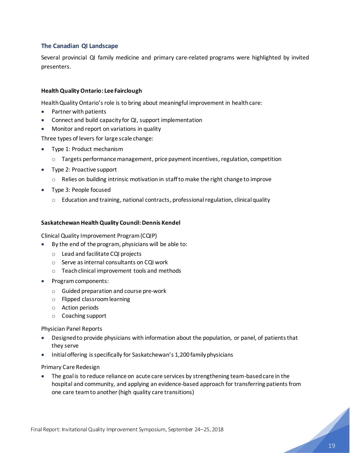### **The Canadian QI Landscape**

Several provincial QI family medicine and primary care-related programs were highlighted by invited presenters.

### **Health Quality Ontario: Lee Fairclough**

Health Quality Ontario's role is to bring about meaningful improvement in health care:

- Partner with patients
- Connect and build capacity for QI, support implementation
- Monitor and report on variations in quality

Three types of levers for large scale change:

- Type 1: Product mechanism
	- $\circ$  Targets performance management, price payment incentives, regulation, competition
- Type 2: Proactive support
	- $\circ$  Relies on building intrinsic motivation in staff to make the right change to improve
- Type 3: People focused
	- o Education and training, national contracts, professionalregulation, clinical quality

### **Saskatchewan Health Quality Council: Dennis Kendel**

Clinical Quality Improvement Program (CQIP)

- By the end of the program, physicians will be able to:
	- o Lead and facilitate CQI projects
	- o Serve as internal consultants on CQI work
	- o Teach clinical improvement tools and methods
- Program components:
	- o Guided preparation and course pre-work
	- o Flipped classroom learning
	- o Action periods
	- o Coaching support

Physician Panel Reports

- Designed to provide physicians with information about the population, or panel, of patients that they serve
- Initial offering is specifically for Saskatchewan's 1,200 family physicians

### Primary Care Redesign

• The goal is to reduce reliance on acute care services by strengthening team-based care in the hospital and community, and applying an evidence-based approach for transferring patients from one care team to another (high quality care transitions)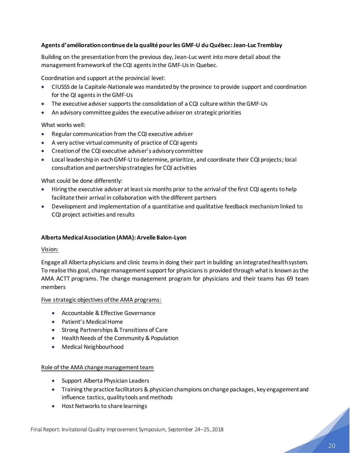### **Agents d'amélioration continue de la qualité pour les GMF-U du Québec: Jean-Luc Tremblay**

Building on the presentation from the previous day, Jean-Luc went into more detail about the management framework of the CQI agents in the GMF-Us in Quebec.

Coordination and support at the provincial level:

- CIUSSS de la Capitale-Nationale was mandated by the province to provide support and coordination for the QI agents in the GMF-Us
- The executive adviser supports the consolidation of a CQI culture within the GMF-Us
- An advisory committee guides the executive adviser on strategic priorities

What works well:

- Regular communication from the CQI executive adviser
- A very active virtual community of practice of CQI agents
- Creation of the CQI executive adviser's advisory committee
- Local leadership in each GMF-U to determine, prioritize, and coordinate their CQI projects; local consultation and partnership strategies for CQI activities

What could be done differently:

- Hiring the executive adviser at least six months prior to the arrival of the first CQI agents to help facilitate their arrival in collaboration with the different partners
- Development and implementation of a quantitative and qualitative feedback mechanism linked to CQI project activities and results

### **Alberta Medical Association (AMA): Arvelle Balon-Lyon**

### Vision:

Engage all Alberta physicians and clinic teams in doing their part in building an integrated health system. To realise this goal, change management support for physicians is provided through what is known as the AMA ACTT programs. The change management program for physicians and their teams has 69 team members

Five strategic objectives of the AMA programs:

- Accountable & Effective Governance
- Patient's Medical Home
- Strong Partnerships & Transitions of Care
- Health Needs of the Community & Population
- Medical Neighbourhood

### Role of the AMA change management team

- Support Alberta Physician Leaders
- Training the practice facilitators & physician champions on change packages, key engagement and influence tactics, quality tools and methods
- Host Networks to share learnings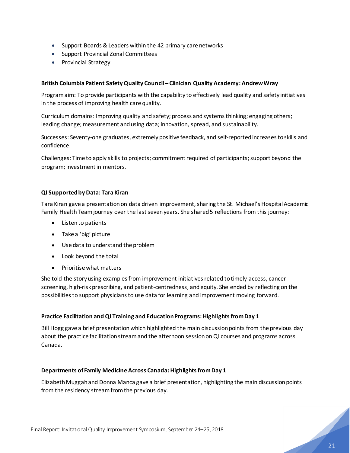- Support Boards & Leaders within the 42 primary care networks
- Support Provincial Zonal Committees
- Provincial Strategy

### **British Columbia Patient Safety Quality Council – Clinician Quality Academy: Andrew Wray**

Program aim: To provide participants with the capability to effectively lead quality and safety initiatives in the process of improving health care quality.

Curriculum domains: Improving quality and safety; process and systems thinking; engaging others; leading change; measurement and using data; innovation, spread, and sustainability.

Successes: Seventy-one graduates, extremely positive feedback, and self-reported increases to skills and confidence.

Challenges: Time to apply skills to projects; commitment required of participants; support beyond the program; investment in mentors.

### **QI Supported by Data: Tara Kiran**

Tara Kiran gave a presentation on data driven improvement, sharing the St. Michael's Hospital Academic Family Health Team journey over the last seven years. She shared 5 reflections from this journey:

- Listen to patients
- Take a 'big' picture
- Use data to understand the problem
- Look beyond the total
- Prioritise what matters

She told the story using examples from improvement initiatives related to timely access, cancer screening, high-risk prescribing, and patient-centredness, and equity. She ended by reflecting on the possibilities to support physicians to use data for learning and improvement moving forward.

### **Practice Facilitation and QI Training and Education Programs: Highlights from Day 1**

Bill Hogg gave a brief presentation which highlighted the main discussion points from the previous day about the practice facilitation stream and the afternoon session on QI courses and programs across Canada.

### **Departments of Family MedicineAcross Canada: Highlights from Day 1**

Elizabeth Muggah and Donna Manca gave a brief presentation, highlighting the main discussion points from the residency stream from the previous day.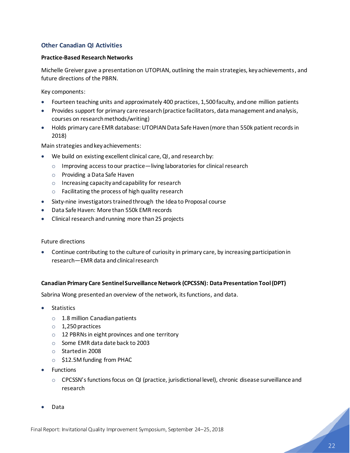### **Other Canadian QI Activities**

### **Practice-Based Research Networks**

Michelle Greiver gave a presentation on UTOPIAN, outlining the main strategies, key achievements, and future directions of the PBRN.

Key components:

- Fourteen teaching units and approximately 400 practices, 1,500 faculty, and one million patients
- Provides support for primary care research (practice facilitators, data management and analysis, courses on research methods/writing)
- Holds primary care EMR database: UTOPIAN Data Safe Haven (more than 550k patient records in 2018)

Main strategies and key achievements:

- We build on existing excellent clinical care, QI, and research by:
	- o Improving access to our practice—living laboratories for clinical research
	- o Providing a Data Safe Haven
	- o Increasing capacity and capability for research
	- o Facilitating the process of high quality research
- Sixty-nine investigators trained through the Idea to Proposal course
- Data Safe Haven: More than 550k EMR records
- Clinical research and running more than 25 projects

Future directions

• Continue contributing to the culture of curiosity in primary care, by increasing participation in research—EMR data and clinical research

### **Canadian Primary Care Sentinel Surveillance Network (CPCSSN): Data Presentation Tool (DPT)**

Sabrina Wong presented an overview of the network, its functions, and data.

- Statistics
	- o 1.8 million Canadian patients
	- o 1,250 practices
	- o 12 PBRNs in eight provinces and one territory
	- o Some EMR data date back to 2003
	- o Started in 2008
	- o \$12.5M funding from PHAC
- **Functions** 
	- CPCSSN's functions focus on QI (practice, jurisdictional level), chronic disease surveillance and research
- Data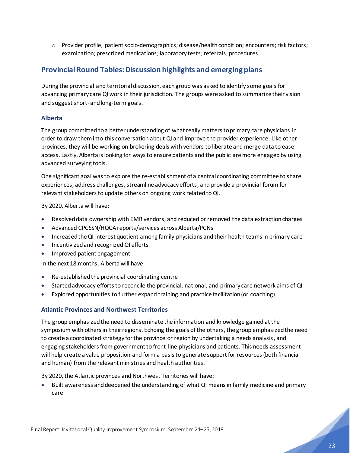$\circ$  Provider profile, patient socio-demographics; disease/health condition; encounters; risk factors; examination; prescribed medications; laboratory tests; referrals; procedures

# <span id="page-24-0"></span>**Provincial Round Tables: Discussion highlights and emerging plans**

During the provincial and territorial discussion, each group was asked to identify some goals for advancing primary care QI work in their jurisdiction. The groups were asked to summarize their vision and suggest short- and long-term goals.

### **Alberta**

The group committed to a better understanding of what really matters to primary care physicians in order to draw them into this conversation about QI and improve the provider experience. Like other provinces, they will be working on brokering deals with vendors to liberate and merge data to ease access. Lastly, Alberta is looking for ways to ensure patients and the public are more engaged by using advanced surveying tools.

One significant goal was to explore the re-establishment of a central coordinating committee to share experiences, address challenges, streamline advocacy efforts, and provide a provincial forum for relevant stakeholders to update others on ongoing work related to QI.

By 2020, Alberta will have:

- Resolved data ownership with EMR vendors, and reduced or removed the data extraction charges
- Advanced CPCSSN/HQCA reports/services across Alberta/PCNs
- Increasedthe QI interest quotient among family physicians and their health teams in primary care
- Incentivized and recognized QI efforts
- Improved patient engagement

In the next 18 months, Alberta will have:

- Re-established the provincial coordinating centre
- Started advocacy efforts to reconcile the provincial, national, and primary care network aims of QI
- Explored opportunities to further expand training and practice facilitation (or coaching)

### **Atlantic Provinces and Northwest Territories**

The group emphasized the need to disseminate the information and knowledge gained at the symposium with others in their regions. Echoing the goals of the others, the group emphasized the need to create a coordinated strategy for the province or region by undertaking a needs analysis, and engaging stakeholders from government to front-line physicians and patients. This needs assessment will help create a value proposition and form a basis to generate support for resources (both financial and human) from the relevant ministries and health authorities.

By 2020, the Atlantic provinces and Northwest Territories will have:

• Built awareness and deepened the understanding of what QI means in family medicine and primary care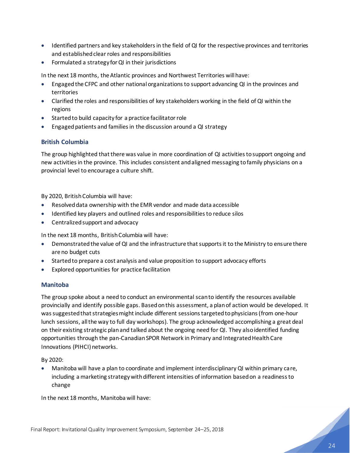- Identified partners and key stakeholders in the field of QI for the respective provinces and territories and established clear roles and responsibilities
- Formulated a strategy for QI in their jurisdictions

In the next 18 months, the Atlantic provinces and Northwest Territories will have:

- Engaged the CFPC and other national organizationsto support advancing QI in the provinces and territories
- Clarified the roles and responsibilities of key stakeholders working in the field of QI within the regions
- Started to build capacity for a practice facilitator role
- Engaged patients and families in the discussion around a QI strategy

### **British Columbia**

The group highlighted that there was value in more coordination of QI activities to support ongoing and new activities in the province. This includes consistent and aligned messaging to family physicians on a provincial level to encourage a culture shift.

By 2020, British Columbia will have:

- Resolved data ownership with the EMR vendor and made data accessible
- Identified key players and outlined roles and responsibilities to reduce silos
- Centralized support and advocacy

In the next 18 months, British Columbia will have:

- Demonstrated the value of QI and the infrastructure that supports it to the Ministry to ensure there are no budget cuts
- Started to prepare a cost analysis and value proposition to support advocacy efforts
- Explored opportunities for practice facilitation

### **Manitoba**

The group spoke about a need to conduct an environmental scan to identify the resources available provincially and identify possible gaps. Based on this assessment, a plan of action would be developed. It was suggested that strategies might include different sessions targeted to physicians (from one-hour lunch sessions, all the way to full day workshops). The group acknowledged accomplishing a great deal on their existing strategic plan and talked about the ongoing need for QI. They also identified funding opportunities through the pan-Canadian SPOR Network in Primary and Integrated Health Care Innovations (PIHCI) networks.

By 2020:

• Manitoba will have a plan to coordinate and implement interdisciplinary QI within primary care, including a marketing strategy with different intensities of information based on a readiness to change

In the next 18 months, Manitoba will have: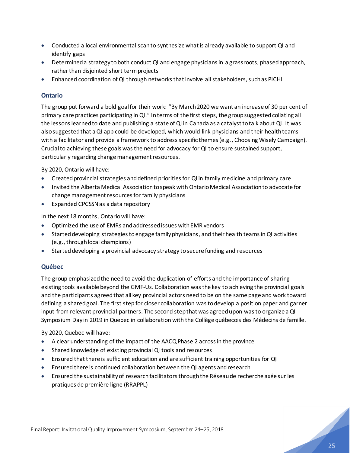- Conducted a local environmental scan to synthesize what is already available to support QI and identify gaps
- Determineda strategy to both conduct QI and engage physicians in a grassroots, phased approach, rather than disjointed short term projects
- Enhanced coordination of QI through networks that involve all stakeholders, such as PICHI

### **Ontario**

The group put forward a bold goal for their work: "By March 2020 we want an increase of 30 per cent of primary care practices participating in QI." In terms of the first steps, the group suggested collating all the lessons learnedto date and publishing a state of QI in Canada as a catalyst to talk about QI. It was also suggested that a QI app could be developed, which would link physicians and their health teams with a facilitator and provide a framework to address specific themes (e.g., Choosing Wisely Campaign). Crucial to achieving these goals was the need for advocacy for QI to ensure sustained support, particularly regarding change management resources.

By 2020, Ontario will have:

- Created provincial strategies and defined priorities for QI in family medicine and primary care
- Invited the Alberta Medical Association to speak with Ontario Medical Association to advocate for change management resources for family physicians
- Expanded CPCSSN as a data repository

In the next 18 months, Ontario will have:

- Optimized the use of EMRs and addressed issues with EMR vendors
- Started developing strategies to engage family physicians, and their health teams in QI activities (e.g., through local champions)
- Started developing a provincial advocacy strategy to secure funding and resources

### **Québec**

The group emphasized the need to avoid the duplication of efforts and the importance of sharing existing tools available beyond the GMF-Us. Collaboration was the key to achieving the provincial goals and the participants agreed that all key provincial actors need to be on the same page and work toward defining a shared goal. The first step for closer collaboration was to develop a position paper and garner input from relevant provincial partners. The second step that was agreed upon was to organize a QI Symposium Day in 2019 in Quebec in collaboration with the Collège québecois des Médecins de famille.

By 2020, Quebec will have:

- A clear understanding of the impact of the AACQ Phase 2 across in the province
- Shared knowledge of existing provincial QI tools and resources
- Ensured that there is sufficient education and are sufficient training opportunities for QI
- Ensured there is continued collaboration between the QI agents and research
- Ensured the sustainability of research facilitators through the Réseau de recherche axée sur les pratiques de première ligne (RRAPPL)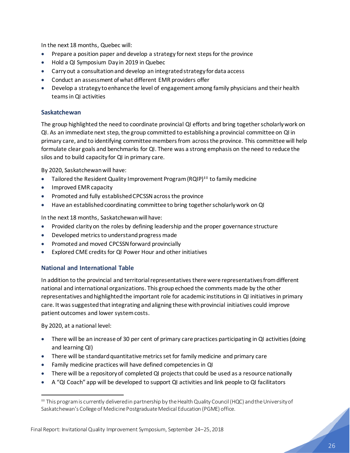In the next 18 months, Quebec will:

- Prepare a position paper and develop a strategy for next steps for the province
- Hold a QI Symposium Day in 2019 in Quebec
- Carry out a consultation and develop an integrated strategy for data access
- Conduct an assessment of what different EMR providers offer
- Develop a strategy to enhance the level of engagement among family physicians and their health teams in QI activities

### **Saskatchewan**

The group highlighted the need to coordinate provincial QI efforts and bring together scholarly work on QI. As an immediate next step, the group committed to establishing a provincial committee on QI in primary care, and to identifying committee members from across the province. This committee will help formulate clear goals and benchmarks for QI. There was a strong emphasis on the need to reduce the silos and to build capacity for QI in primary care.

By 2020, Saskatchewan will have:

- Tailored the Resident Quality Improvement Program (RQIP)<sup> $\pm\pm$ </sup> to family medicine
- Improved EMR capacity
- Promoted and fully established CPCSSN across the province
- Have an established coordinating committee to bring together scholarly work on QI

In the next 18 months, Saskatchewan will have:

- Provided clarity on the roles by defining leadership and the proper governance structure
- Developed metrics to understand progress made
- Promoted and moved CPCSSN forward provincially
- Explored CME credits for QI Power Hour and other initiatives

### **National and International Table**

In addition to the provincial and territorial representatives there were representatives from different national and international organizations. This group echoed the comments made by the other representatives and highlighted the important role for academic institutions in QI initiatives in primary care. It was suggested that integrating and aligning these with provincial initiatives could improve patient outcomes and lower system costs.

By 2020, at a national level:

- There will be an increase of 30 per cent of primary care practices participating in QI activities (doing and learning QI)
- There will be standard quantitative metrics set for family medicine and primary care
- Family medicine practices will have defined competencies in QI
- There will be a repository of completed QI projects that could be used as a resource nationally
- A "QI Coach" app will be developed to support QI activities and link people to QI facilitators

<sup>‡‡</sup> This program is currently delivered in partnership by the Health Quality Council (HQC) and the University of Saskatchewan's College of Medicine Postgraduate Medical Education (PGME) office.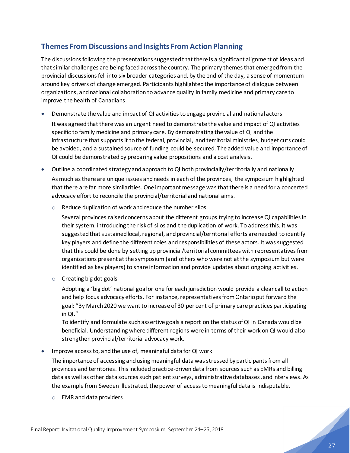# <span id="page-28-0"></span>**Themes From Discussions and Insights From Action Planning**

The discussions following the presentations suggested that there is a significant alignment of ideas and that similar challenges are being faced across the country. The primary themes that emerged from the provincial discussions fell into six broader categories and, by the end of the day, a sense of momentum around key drivers of change emerged. Participants highlighted the importance of dialogue between organizations, and national collaboration to advance quality in family medicine and primary care to improve the health of Canadians.

• Demonstrate the value and impact of QI activities to engage provincial and national actors

It was agreed that there was an urgent need to demonstrate the value and impact of QI activities specific to family medicine and primary care. By demonstrating the value of QI and the infrastructure that supports it to the federal, provincial, and territorial ministries, budget cuts could be avoided, and a sustained source of funding could be secured. The added value and importance of QI could be demonstrated by preparing value propositions and a cost analysis.

- Outline a coordinated strategy and approach to QI both provincially/territorially and nationally As much as there are unique issues and needs in each of the provinces, the symposium highlighted that there are far more similarities. One important message was that there is a need for a concerted advocacy effort to reconcile the provincial/territorial and national aims.
	- o Reduce duplication of work and reduce the number silos

Several provinces raised concerns about the different groups trying to increase QI capabilities in their system, introducing the risk of silos and the duplication of work. To address this, it was suggested that sustained local, regional, and provincial/territorial efforts are needed to identify key players and define the different roles and responsibilities of these actors. It was suggested that this could be done by setting up provincial/territorial committees with representatives from organizations present at the symposium (and others who were not at the symposium but were identified as key players) to share information and provide updates about ongoing activities.

 $\circ$  Creating big dot goals

Adopting a 'big dot' national goal or one for each jurisdiction would provide a clear call to action and help focus advocacy efforts. For instance, representatives from Ontario put forward the goal: "By March 2020 we want to increase of 30 per cent of primary care practices participating in QI."

To identify and formulate such assertive goals a report on the status of QI in Canada would be beneficial. Understanding where different regions were in terms of their work on QI would also strengthen provincial/territorial advocacy work.

• Improve access to, and the use of, meaningful data for QI work

The importance of accessing and using meaningful data was stressed by participants from all provinces and territories. This included practice-driven data from sources such as EMRs and billing data as well as other data sources such patient surveys, administrative databases, and interviews. As the example from Sweden illustrated, the power of access to meaningful data is indisputable.

o EMR and data providers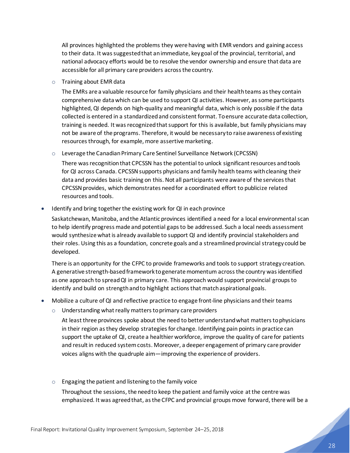All provinces highlighted the problems they were having with EMR vendors and gaining access to their data. It was suggested that an immediate, key goal of the provincial, territorial, and national advocacy efforts would be to resolve the vendor ownership and ensure that data are accessible for all primary care providers across the country.

o Training about EMR data

The EMRs are a valuable resource for family physicians and their health teams as they contain comprehensive data which can be used to support QI activities. However, as some participants highlighted, QI depends on high-quality and meaningful data, which is only possible if the data collected is entered in a standardized and consistent format. Toensure accurate data collection, training is needed. It was recognized that support for this is available, but family physicians may not be aware of the programs. Therefore, it would be necessary to raise awareness of existing resources through, for example, more assertive marketing.

o Leverage the Canadian Primary Care Sentinel Surveillance Network (CPCSSN)

There was recognition that CPCSSN has the potential to unlock significant resources and tools for QI across Canada. CPCSSN supports physicians and family health teams with cleaning their data and provides basic training on this. Not all participants were aware of the services that CPCSSN provides, which demonstrates need for a coordinated effort to publicize related resources and tools.

• Identify and bring together the existing work for QI in each province

Saskatchewan, Manitoba, and the Atlantic provinces identified a need for a local environmental scan to help identify progress made and potential gaps to be addressed. Such a local needs assessment would synthesize what is already available to support QI and identify provincial stakeholders and their roles. Using this as a foundation, concrete goals and a streamlined provincial strategy could be developed.

There is an opportunity for the CFPC to provide frameworks and tools to support strategy creation. A generative strength-based framework to generate momentum across the country was identified as one approach to spread QI in primary care. This approach would support provincial groups to identify and build on strength and to highlight actions that match aspirational goals.

- Mobilize a culture of QI and reflective practice to engage front-line physicians and their teams
	- $\circ$  Understanding what really matters to primary care providers

At least three provinces spoke about the need to better understand what matters to physicians in their region as they develop strategies for change. Identifying pain points in practice can support the uptake of QI, create a healthier workforce, improve the quality of care for patients and result in reduced system costs. Moreover, a deeper engagement of primary care provider voices aligns with the quadruple aim—improving the experience of providers.

 $\circ$  Engaging the patient and listening to the family voice Throughout the sessions, the need to keep the patient and family voice at the centre was emphasized. It was agreed that, as the CFPC and provincial groups move forward, there will be a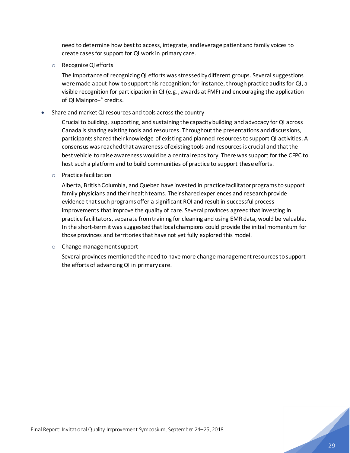need to determine how best to access, integrate,and leverage patient and family voices to create cases for support for QI work in primary care.

o Recognize QI efforts

The importance of recognizing QI efforts was stressed by different groups. Several suggestions were made about how to support this recognition; for instance, through practice audits for QI, a visible recognition for participation in QI (e.g., awards at FMF) and encouraging the application of QI Mainpro+® credits.

• Share and market QI resources and tools across the country

Crucial to building, supporting, and sustaining the capacity building and advocacy for QI across Canada is sharing existing tools and resources. Throughout the presentations and discussions, participants shared their knowledge of existing and planned resources to support QI activities. A consensus was reached that awareness ofexisting tools and resources is crucial and that the best vehicle to raise awareness would be a central repository. There was support for the CFPC to host such a platform and to build communities of practice to support these efforts.

o Practice facilitation

Alberta, British Columbia, and Quebec have invested in practice facilitator programs to support family physicians and their health teams. Their shared experiences and research provide evidence that such programs offer a significant ROI and result in successful process improvements that improve the quality of care. Several provinces agreed that investing in practice facilitators, separate fromtraining for cleaning and using EMR data, would be valuable. In the short-term it was suggested that local champions could provide the initial momentum for those provinces and territories that have not yet fully explored this model.

o Change management support

Several provinces mentioned the need to have more change management resources to support the efforts of advancing QI in primary care.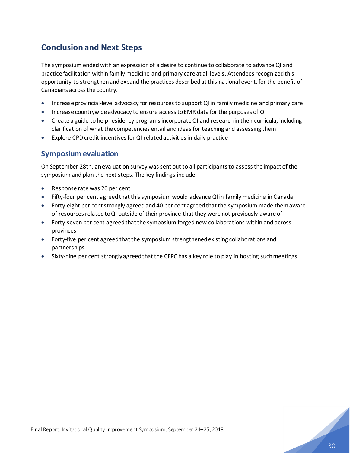# <span id="page-31-0"></span>**Conclusion and Next Steps**

The symposium ended with an expression of a desire to continue to collaborate to advance QI and practice facilitation within family medicine and primary care at all levels. Attendees recognizedthis opportunity to strengthen and expand the practices described at this national event, for the benefit of Canadians across the country.

- Increase provincial-level advocacy for resources to support QI in family medicine and primary care
- Increase countrywide advocacy to ensure access to EMR data for the purposes of QI
- Create a guide to help residency programs incorporate QI and research in their curricula, including clarification of what the competencies entail and ideas for teaching and assessing them
- Explore CPD credit incentives for QI related activities in daily practice

### <span id="page-31-1"></span>**Symposium evaluation**

On September 28th, an evaluation survey was sent out to all participants to assess the impact of the symposium and plan the next steps. The key findings include:

- Response rate was 26 per cent
- Fifty-four per cent agreed that this symposium would advance QI in family medicine in Canada
- Forty-eight per cent strongly agreed and 40 per cent agreed that the symposium made them aware of resources related to QI outside of their province that they were not previously aware of
- Forty-seven per cent agreed that the symposium forged new collaborations within and across provinces
- Forty-five per cent agreed that the symposium strengthened existing collaborations and partnerships
- Sixty-nine per cent strongly agreed that the CFPC has a key role to play in hosting such meetings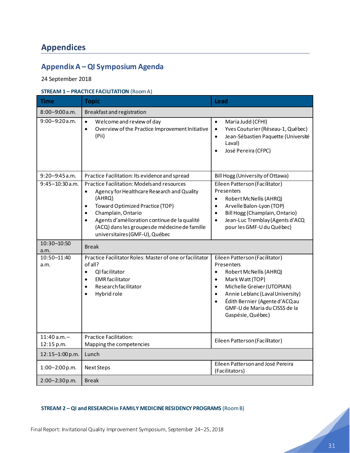# <span id="page-32-0"></span>**Appendices**

# <span id="page-32-1"></span>**Appendix A –QI Symposium Agenda**

24 September 2018

### **STREAM 1 – PRACTICE FACILITATION** (Room A)

| <b>Time</b>                  | <b>Topic</b>                                                                                                                                                                                                                                                                                                                           | Lead                                                                                                                                                                                                                                                                                                                |  |
|------------------------------|----------------------------------------------------------------------------------------------------------------------------------------------------------------------------------------------------------------------------------------------------------------------------------------------------------------------------------------|---------------------------------------------------------------------------------------------------------------------------------------------------------------------------------------------------------------------------------------------------------------------------------------------------------------------|--|
| $8:00 - 9:00$ a.m.           | Breakfast and registration                                                                                                                                                                                                                                                                                                             |                                                                                                                                                                                                                                                                                                                     |  |
| $9:00 - 9:20$ a.m.           | $\bullet$<br>Welcome and review of day<br>Overview of the Practice Improvement Initiative<br>$\bullet$<br>(Pii)                                                                                                                                                                                                                        | Maria Judd (CFHI)<br>$\bullet$<br>Yves Couturier (Réseau-1, Québec)<br>$\bullet$<br>Jean-Sébastien Paquette (Université<br>$\bullet$<br>Laval)<br>José Pereira (CFPC)<br>$\bullet$                                                                                                                                  |  |
| $9:20 - 9:45$ a.m.           | Practice Facilitation: Its evidence and spread                                                                                                                                                                                                                                                                                         | Bill Hogg (University of Ottawa)                                                                                                                                                                                                                                                                                    |  |
| $9:45 - 10:30$ a.m.          | Practice Facilitation: Models and resources<br>Agency for Healthcare Research and Quality<br>$\bullet$<br>(AHRQ)<br>Toward Optimized Practice (TOP)<br>Champlain, Ontario<br>$\bullet$<br>Agents d'amélioration continue de la qualité<br>$\bullet$<br>(ACQ) dans les groupes de médecine de famille<br>universitaires (GMF-U), Québec | Eileen Patterson (Facilitator)<br>Presenters<br>Robert McNellis (AHRQ)<br>$\bullet$<br>Arvelle Balon-Lyon (TOP)<br>$\bullet$<br>Bill Hogg (Champlain, Ontario)<br>$\bullet$<br>Jean-Luc Tremblay (Agents d'ACQ<br>$\bullet$<br>pour les GMF-U du Québec)                                                            |  |
| 10:30-10:50<br>a.m.          | <b>Break</b>                                                                                                                                                                                                                                                                                                                           |                                                                                                                                                                                                                                                                                                                     |  |
| 10:50-11:40<br>a.m.          | Practice Facilitator Roles: Master of one or facilitator<br>of all?<br>QI facilitator<br>$\bullet$<br><b>EMR</b> facilitator<br>$\bullet$<br>Research facilitator<br>$\bullet$<br>Hybrid role<br>$\bullet$                                                                                                                             | Eileen Patterson (Facilitator)<br>Presenters<br>Robert McNellis (AHRQ)<br>$\bullet$<br>Mark Watt (TOP)<br>$\bullet$<br>Michelle Greiver (UTOPIAN)<br>$\bullet$<br>Annie Leblanc (Laval University)<br>$\bullet$<br>Édith Bernier (Agente d'ACQau<br>$\bullet$<br>GMF-U de Maria du CISSS de la<br>Gaspésie, Québec) |  |
| $11:40$ a.m. -<br>12:15 p.m. | <b>Practice Facilitation:</b><br>Mapping the competencies                                                                                                                                                                                                                                                                              | Eileen Patterson (Facilitator)                                                                                                                                                                                                                                                                                      |  |
| 12:15-1:00 p.m.              | Lunch                                                                                                                                                                                                                                                                                                                                  |                                                                                                                                                                                                                                                                                                                     |  |
| $1:00-2:00$ p.m.             | Next Steps                                                                                                                                                                                                                                                                                                                             | Eileen Patterson and José Pereira<br>(Facilitators)                                                                                                                                                                                                                                                                 |  |
| 2:00-2:30p.m.                | <b>Break</b>                                                                                                                                                                                                                                                                                                                           |                                                                                                                                                                                                                                                                                                                     |  |

### **STREAM 2 – QI and RESEARCH in FAMILY MEDICINE RESIDENCY PROGRAMS** (Room B)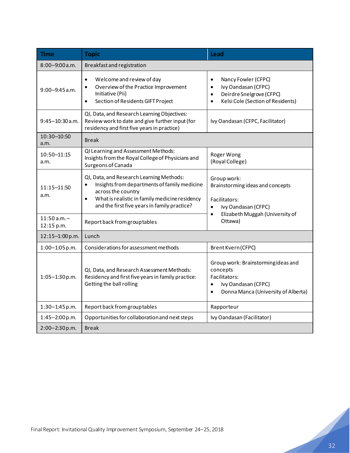| <b>Time</b>                    | <b>Topic</b>                                                                                                                                                                                                                               | <b>Lead</b>                                                                                                                                                     |
|--------------------------------|--------------------------------------------------------------------------------------------------------------------------------------------------------------------------------------------------------------------------------------------|-----------------------------------------------------------------------------------------------------------------------------------------------------------------|
| 8:00-9:00 a.m.                 | Breakfast and registration                                                                                                                                                                                                                 |                                                                                                                                                                 |
| $9:00 - 9:45$ a.m.             | Welcome and review of day<br>$\bullet$<br>Overview of the Practice Improvement<br>$\bullet$<br>Initiative (Pii)<br>Section of Residents GIFT Project<br>$\bullet$                                                                          | Nancy Fowler (CFPC)<br>$\bullet$<br>Ivy Oandasan (CFPC)<br>$\bullet$<br>Deirdre Snelgrove (CFPC)<br>$\bullet$<br>Kelsi Cole (Section of Residents)<br>$\bullet$ |
| $9:45-10:30$ a.m.              | QI, Data, and Research Learning Objectives:<br>Review work to date and give further input (for<br>residency and first five years in practice)                                                                                              | Ivy Oandasan (CFPC, Facilitator)                                                                                                                                |
| 10:30-10:50<br>a.m.            | <b>Break</b>                                                                                                                                                                                                                               |                                                                                                                                                                 |
| 10:50-11:15<br>a.m.            | QI Learning and Assessment Methods:<br>Insights from the Royal College of Physicians and<br>Surgeons of Canada                                                                                                                             | Roger Wong<br>(Royal College)                                                                                                                                   |
| 11:15-11:50<br>a.m.            | QI, Data, and Research Learning Methods:<br>Insights from departments of family medicine<br>$\bullet$<br>across the country<br>What is realistic in family medicine residency<br>$\bullet$<br>and the first five years in family practice? | Group work:<br>Brainstorming ideas and concepts<br>Facilitators:<br>Ivy Oandasan (CFPC)<br>$\bullet$                                                            |
| $11:50$ a.m. $-$<br>12:15 p.m. | Report back from group tables                                                                                                                                                                                                              | Elizabeth Muggah (University of<br>$\bullet$<br>Ottawa)                                                                                                         |
| 12:15-1:00 p.m.                | Lunch                                                                                                                                                                                                                                      |                                                                                                                                                                 |
| $1:00-1:05$ p.m.               | Considerations for assessment methods                                                                                                                                                                                                      | Brent Kvern (CFPC)                                                                                                                                              |
| $1:05 - 1:30$ p.m.             | QI, Data, and Research Assessment Methods:<br>Residency and first five years in family practice:<br>Getting the ball rolling                                                                                                               | Group work: Brainstormingideas and<br>concepts<br>Facilitators:<br>Ivy Oandasan (CFPC)<br>$\bullet$<br>Donna Manca (University of Alberta)<br>$\bullet$         |
| $1:30-1:45$ p.m.               | Report back from group tables                                                                                                                                                                                                              | Rapporteur                                                                                                                                                      |
| $1:45 - 2:00 p.m.$             | Opportunities for collaboration and next steps                                                                                                                                                                                             | Ivy Oandasan (Facilitator)                                                                                                                                      |
| 2:00-2:30p.m.                  | <b>Break</b>                                                                                                                                                                                                                               |                                                                                                                                                                 |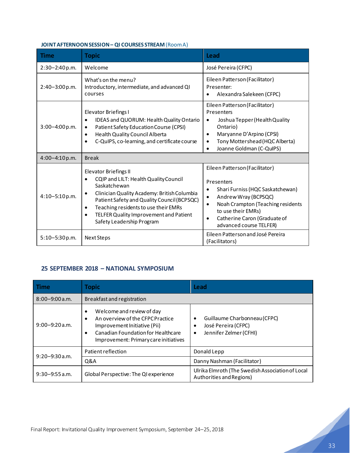### **JOINT AFTERNOON SESSION – QI COURSES STREAM**(Room A)

| Time               | <b>Topic</b>                                                                                                                                                                                                                                                                                                                              | Lead                                                                                                                                                                                                                                             |
|--------------------|-------------------------------------------------------------------------------------------------------------------------------------------------------------------------------------------------------------------------------------------------------------------------------------------------------------------------------------------|--------------------------------------------------------------------------------------------------------------------------------------------------------------------------------------------------------------------------------------------------|
| $2:30-2:40 p.m.$   | Welcome                                                                                                                                                                                                                                                                                                                                   | José Pereira (CFPC)                                                                                                                                                                                                                              |
| $2:40 - 3:00 p.m.$ | What's on the menu?<br>Introductory, intermediate, and advanced QI<br>courses                                                                                                                                                                                                                                                             | Eileen Patterson (Facilitator)<br>Presenter:<br>Alexandra Salekeen (CFPC)                                                                                                                                                                        |
| $3:00 - 4:00 p.m.$ | Elevator Briefings I<br>IDEAS and QUORUM: Health Quality Ontario<br>$\bullet$<br>Patient Safety Education Course (CPSI)<br>$\bullet$<br>Health Quality Council Alberta<br>$\bullet$<br>C-QuIPS, co-learning, and certificate course<br>$\bullet$                                                                                          | Eileen Patterson (Facilitator)<br>Presenters<br>Joshua Tepper (Health Quality<br>Ontario)<br>Maryanne D'Arpino (CPSI)<br>$\bullet$<br>Tony Mottershead (HQC Alberta)<br>Joanne Goldman (C-QuIPS)                                                 |
| $4:00 - 4:10 p.m.$ | <b>Break</b>                                                                                                                                                                                                                                                                                                                              |                                                                                                                                                                                                                                                  |
| $4:10-5:10 p.m.$   | <b>Elevator Briefings II</b><br>CQIP and LILT: Health Quality Council<br>Saskatchewan<br>Clinician Quality Academy: British Columbia<br>$\bullet$<br>Patient Safety and Quality Council (BCPSQC)<br>Teaching residents to use their EMRs<br>$\bullet$<br>TELFER Quality Improvement and Patient<br>$\bullet$<br>Safety Leadership Program | Eileen Patterson (Facilitator)<br>Presenters<br>Shari Furniss (HQC Saskatchewan)<br>Andrew Wray (BCPSQC)<br>٠<br>Noah Crampton (Teaching residents<br>$\bullet$<br>to use their EMRs)<br>Catherine Caron (Graduate of<br>advanced course TELFER) |
| $5:10 - 5:30 p.m.$ | Next Steps                                                                                                                                                                                                                                                                                                                                | Eileen Patterson and José Pereira<br>(Facilitators)                                                                                                                                                                                              |

### **25 SEPTEMBER 2018 – NATIONAL SYMPOSIUM**

| Time               | <b>Topic</b>                                                                                                                                                                 | Lead                                                                                         |  |
|--------------------|------------------------------------------------------------------------------------------------------------------------------------------------------------------------------|----------------------------------------------------------------------------------------------|--|
| $8:00 - 9:00$ a.m. | Breakfast and registration                                                                                                                                                   |                                                                                              |  |
| $9:00 - 9:20$ a.m. | Welcome and review of day<br>An overview of the CFPC Practice<br>Improvement Initiative (Pii)<br>Canadian Foundation for Healthcare<br>Improvement: Primary care initiatives | Guillaume Charbonneau (CFPC)<br>٠<br>José Pereira (CFPC)<br>٠<br>Jennifer Zelmer (CFHI)<br>٠ |  |
| $9:20 - 9:30$ a.m. | Patient reflection                                                                                                                                                           | Donald Lepp                                                                                  |  |
|                    | Q&A                                                                                                                                                                          | Danny Nashman (Facilitator)                                                                  |  |
| $9:30 - 9:55$ a.m. | Global Perspective: The QI experience                                                                                                                                        | Ulrika Elmroth (The Swedish Association of Local<br>Authorities and Regions)                 |  |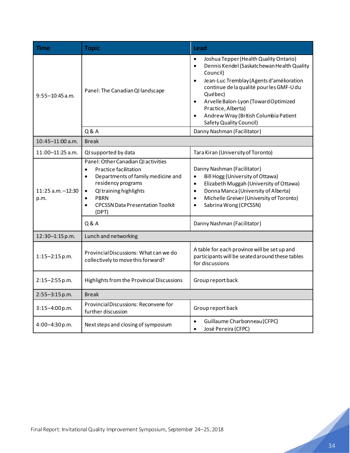<span id="page-35-0"></span>

| Time                                    | <b>Topic</b>                                                                                                                                                                                                                                                                                  | Lead                                                                                                                                                                                                                                                                                                                                                                                                          |
|-----------------------------------------|-----------------------------------------------------------------------------------------------------------------------------------------------------------------------------------------------------------------------------------------------------------------------------------------------|---------------------------------------------------------------------------------------------------------------------------------------------------------------------------------------------------------------------------------------------------------------------------------------------------------------------------------------------------------------------------------------------------------------|
| $9:55 - 10:45$ a.m.                     | Panel: The Canadian QI landscape                                                                                                                                                                                                                                                              | Joshua Tepper (Health Quality Ontario)<br>$\bullet$<br>Dennis Kendel (Saskatchewan Health Quality<br>$\bullet$<br>Council)<br>Jean-Luc Tremblay (Agents d'amélioration<br>$\bullet$<br>continue de la qualité pour les GMF-U du<br>Québec)<br>Arvelle Balon-Lyon (Toward Optimized<br>$\bullet$<br>Practice, Alberta)<br>Andrew Wray (British Columbia Patient<br>$\bullet$<br><b>Safety Quality Council)</b> |
|                                         | Q & A                                                                                                                                                                                                                                                                                         | Danny Nashman (Facilitator)                                                                                                                                                                                                                                                                                                                                                                                   |
| $10:45 - 11:00$ a.m.                    | <b>Break</b>                                                                                                                                                                                                                                                                                  |                                                                                                                                                                                                                                                                                                                                                                                                               |
| 11:00-11:25 a.m.                        | QI supported by data                                                                                                                                                                                                                                                                          | Tara Kiran (University of Toronto)                                                                                                                                                                                                                                                                                                                                                                            |
| 11:25 a.m. - 12:30<br>p.m.              | Panel: Other Canadian QI activities<br><b>Practice facilitation</b><br>$\bullet$<br>Departments of family medicine and<br>$\bullet$<br>residency programs<br>QI training highlights<br>$\bullet$<br><b>PBRN</b><br>$\bullet$<br><b>CPCSSN Data Presentation Toolkit</b><br>$\bullet$<br>(DPT) | Danny Nashman (Facilitator)<br>Bill Hogg (University of Ottawa)<br>$\bullet$<br>Elizabeth Muggah (University of Ottawa)<br>$\bullet$<br>Donna Manca (University of Alberta)<br>$\bullet$<br>Michelle Greiver (University of Toronto)<br>$\bullet$<br>Sabrina Wong (CPCSSN)                                                                                                                                    |
|                                         | Q & A                                                                                                                                                                                                                                                                                         | Danny Nashman (Facilitator)                                                                                                                                                                                                                                                                                                                                                                                   |
| Lunch and networking<br>12:30-1:15 p.m. |                                                                                                                                                                                                                                                                                               |                                                                                                                                                                                                                                                                                                                                                                                                               |
| $1:15-2:15$ p.m.                        | Provincial Discussions: What can we do<br>collectively to move this forward?                                                                                                                                                                                                                  | A table for each province will be set up and<br>participants will be seated around these tables<br>for discussions                                                                                                                                                                                                                                                                                            |
| $2:15-2:55$ p.m.                        | Highlights from the Provincial Discussions                                                                                                                                                                                                                                                    | Group report back                                                                                                                                                                                                                                                                                                                                                                                             |
| $2:55 - 3:15$ p.m.<br><b>Break</b>      |                                                                                                                                                                                                                                                                                               |                                                                                                                                                                                                                                                                                                                                                                                                               |
| $3:15-4:00$ p.m.                        | Provincial Discussions: Reconvene for<br>further discussion                                                                                                                                                                                                                                   | Group report back                                                                                                                                                                                                                                                                                                                                                                                             |
| 4:00-4:30 p.m.                          | Next steps and closing of symposium                                                                                                                                                                                                                                                           | Guillaume Charbonneau (CFPC)<br>$\bullet$<br>José Pereira (CFPC)<br>$\bullet$                                                                                                                                                                                                                                                                                                                                 |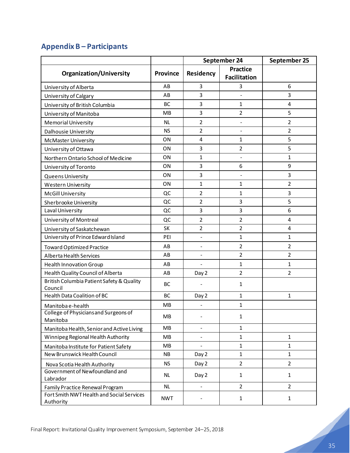# **Appendix B – Participants**

|                                                        |                 | September 24                 |                     | September 25   |
|--------------------------------------------------------|-----------------|------------------------------|---------------------|----------------|
| <b>Organization/University</b>                         | <b>Province</b> | <b>Practice</b><br>Residency |                     |                |
|                                                        |                 |                              | <b>Facilitation</b> |                |
| University of Alberta                                  | AB              | 3                            | 3                   | 6              |
| University of Calgary                                  | AB              | 3                            | $\overline{a}$      | 3              |
| University of British Columbia                         | BC              | 3                            | 1                   | 4              |
| University of Manitoba                                 | MB              | 3                            | $\overline{2}$      | 5              |
| <b>Memorial University</b>                             | <b>NL</b>       | $\overline{2}$               |                     | $\overline{2}$ |
| Dalhousie University                                   | <b>NS</b>       | $\overline{2}$               |                     | $\overline{2}$ |
| <b>McMaster University</b>                             | ON              | $\overline{\mathbf{4}}$      | 1                   | 5              |
| University of Ottawa                                   | ON              | 3                            | $\overline{2}$      | 5              |
| Northern Ontario School of Medicine                    | ON              | 1                            | $\blacksquare$      | $\mathbf{1}$   |
| University of Toronto                                  | ON              | 3                            | 6                   | 9              |
| <b>Queens University</b>                               | <b>ON</b>       | 3                            |                     | 3              |
| <b>Western University</b>                              | ON              | $\mathbf{1}$                 | 1                   | $\overline{2}$ |
| <b>McGill University</b>                               | QC              | $\overline{2}$               | 1                   | 3              |
| Sherbrooke University                                  | QC              | 2                            | 3                   | 5              |
| Laval University                                       | QC              | 3                            | 3                   | 6              |
| University of Montreal                                 | QC              | 2                            | $\overline{2}$      | 4              |
| University of Saskatchewan                             | SK              | $\overline{2}$               | $\overline{2}$      | 4              |
| University of Prince Edward Island                     | PEI             |                              | 1                   | $\mathbf{1}$   |
| <b>Toward Optimized Practice</b>                       | AB              | $\overline{\phantom{a}}$     | $\overline{2}$      | $\overline{2}$ |
| Alberta Health Services                                | AB              | $\overline{\phantom{0}}$     | $\overline{2}$      | $\overline{2}$ |
| <b>Health Innovation Group</b>                         | AB              |                              | $\mathbf{1}$        | $\mathbf{1}$   |
| Health Quality Council of Alberta                      | AB              | Day 2                        | $\overline{2}$      | $\overline{2}$ |
| British Columbia Patient Safety & Quality<br>Council   | BC              |                              | 1                   |                |
| Health Data Coalition of BC                            | BC              | Day 2                        | $\mathbf{1}$        | $\mathbf{1}$   |
| Manitoba e-health                                      | MB              | ÷,                           | 1                   |                |
| College of Physicians and Surgeons of<br>Manitoba      | MB              |                              | $\mathbf{1}$        |                |
| Manitoba Health, Senior and Active Living              | <b>MB</b>       | ÷,                           | $\mathbf{1}$        |                |
| Winnipeg Regional Health Authority                     | MB              |                              | $\mathbf{1}$        | $\mathbf{1}$   |
| Manitoba Institute for Patient Safety                  | MB              | $\overline{a}$               | $\mathbf{1}$        | $\mathbf{1}$   |
| New Brunswick Health Council                           | <b>NB</b>       | Day 2                        | $\mathbf{1}$        | $\mathbf{1}$   |
| Nova Scotia Health Authority                           | <b>NS</b>       | Day 2                        | $\overline{2}$      | $\overline{2}$ |
| Government of Newfoundland and<br>Labrador             | <b>NL</b>       | Day 2                        | $\mathbf{1}$        | $\mathbf{1}$   |
| Family Practice Renewal Program                        | <b>NL</b>       | $\blacksquare$               | $\overline{2}$      | $\overline{2}$ |
| Fort Smith NWT Health and Social Services<br>Authority | <b>NWT</b>      |                              | $\mathbf{1}$        | $\mathbf{1}$   |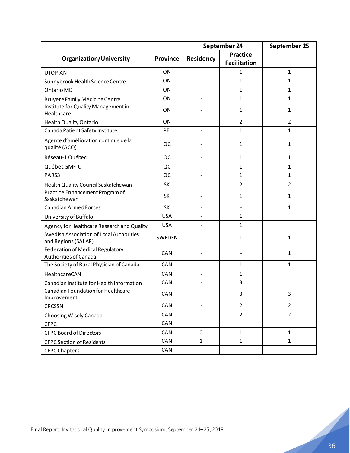|                                                                  |                 | September 24   |                                        | September 25   |
|------------------------------------------------------------------|-----------------|----------------|----------------------------------------|----------------|
| <b>Organization/University</b>                                   | <b>Province</b> | Residency      | <b>Practice</b><br><b>Facilitation</b> |                |
| <b>UTOPIAN</b>                                                   | ON              |                | 1                                      | $\mathbf{1}$   |
| Sunnybrook Health Science Centre                                 | ON              |                | 1                                      | $\mathbf{1}$   |
| <b>Ontario MD</b>                                                | <b>ON</b>       | ÷,             | 1                                      | $\mathbf{1}$   |
| <b>Bruyere Family Medicine Centre</b>                            | ON              |                | $\mathbf{1}$                           | $\mathbf{1}$   |
| Institute for Quality Management in<br>Healthcare                | ON              |                | $\mathbf{1}$                           | $\mathbf{1}$   |
| Health Quality Ontario                                           | ON              |                | 2                                      | $\overline{2}$ |
| Canada Patient Safety Institute                                  | PEI             | ÷,             | $\mathbf{1}$                           | $\mathbf{1}$   |
| Agente d'amélioration continue de la<br>qualité (ACQ)            | QC              |                | 1                                      | $\mathbf{1}$   |
| Réseau-1 Québec                                                  | QC              | ÷,             | $\mathbf{1}$                           | $\mathbf{1}$   |
| Québec GMF-U                                                     | QC              |                | 1                                      | $\mathbf{1}$   |
| PARS3                                                            | QC              | L.             | 1                                      | $\mathbf{1}$   |
| Health Quality Council Saskatchewan                              | SK              |                | $\overline{2}$                         | $\overline{2}$ |
| Practice Enhancement Program of<br>Saskatchewan                  | SK              |                | 1                                      | $\mathbf{1}$   |
| <b>Canadian Armed Forces</b>                                     | SK              | L.             | ÷.                                     | $\mathbf{1}$   |
| University of Buffalo                                            | <b>USA</b>      |                | 1                                      |                |
| Agency for Healthcare Research and Quality                       | <b>USA</b>      |                | 1                                      |                |
| Swedish Association of Local Authorities<br>and Regions (SALAR)  | SWEDEN          |                | $\mathbf{1}$                           | $\mathbf{1}$   |
| <b>Federation of Medical Regulatory</b><br>Authorities of Canada | CAN             |                |                                        | $\mathbf{1}$   |
| The Society of Rural Physician of Canada                         | CAN             | ÷,             | 1                                      | $\mathbf{1}$   |
| HealthcareCAN                                                    | CAN             | ٠              | 1                                      |                |
| Canadian Institute for Health Information                        | CAN             | $\overline{a}$ | 3                                      |                |
| Canadian Foundation for Healthcare<br>Improvement                | CAN             |                | 3                                      | 3              |
| <b>CPCSSN</b>                                                    | CAN             | ÷,             | $\overline{2}$                         | $\overline{2}$ |
| Choosing Wisely Canada                                           | CAN             |                | $\overline{2}$                         | $\overline{2}$ |
| <b>CFPC</b>                                                      | CAN             |                |                                        |                |
| <b>CFPC Board of Directors</b>                                   | CAN             | 0              | $\mathbf{1}$                           | $\mathbf{1}$   |
| <b>CFPC Section of Residents</b>                                 | CAN             | $\mathbf{1}$   | $\mathbf{1}$                           | $\mathbf{1}$   |
| <b>CFPC Chapters</b>                                             | CAN             |                |                                        |                |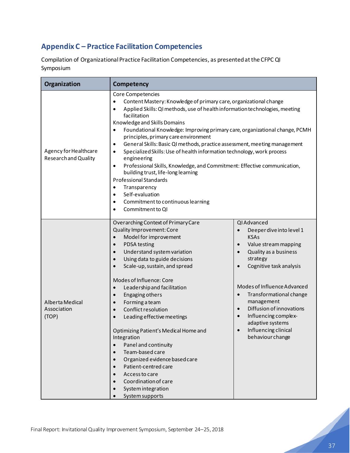# <span id="page-38-0"></span>**Appendix C – Practice Facilitation Competencies**

Compilation of Organizational Practice Facilitation Competencies, as presented at the CFPC QI Symposium

| Organization                                        | Competency                                                                                                                                                                                                                                                                                                                                                                                                                                                                                                                                                                                                                                                                                                                                                                                                                                                        |                                                                                                                                                                                                                                                                                                                                                                                                                          |  |  |  |  |
|-----------------------------------------------------|-------------------------------------------------------------------------------------------------------------------------------------------------------------------------------------------------------------------------------------------------------------------------------------------------------------------------------------------------------------------------------------------------------------------------------------------------------------------------------------------------------------------------------------------------------------------------------------------------------------------------------------------------------------------------------------------------------------------------------------------------------------------------------------------------------------------------------------------------------------------|--------------------------------------------------------------------------------------------------------------------------------------------------------------------------------------------------------------------------------------------------------------------------------------------------------------------------------------------------------------------------------------------------------------------------|--|--|--|--|
| Agency for Healthcare<br><b>Researchand Quality</b> | Core Competencies<br>Content Mastery: Knowledge of primary care, organizational change<br>Applied Skills: QI methods, use of health information technologies, meeting<br>facilitation<br>Knowledge and Skills Domains<br>Foundational Knowledge: Improving primary care, organizational change, PCMH<br>$\bullet$<br>principles, primary care environment<br>General Skills: Basic QI methods, practice assessment, meeting management<br>$\bullet$<br>Specialized Skills: Use of health information technology, work process<br>$\bullet$<br>engineering<br>Professional Skills, Knowledge, and Commitment: Effective communication,<br>$\bullet$<br>building trust, life-long learning<br><b>Professional Standards</b><br>Transparency<br>$\bullet$<br>Self-evaluation<br>$\bullet$<br>Commitment to continuous learning<br>$\bullet$<br>Commitment to QI<br>٠ |                                                                                                                                                                                                                                                                                                                                                                                                                          |  |  |  |  |
| Alberta Medical<br>Association<br>(TOP)             | Overarching Context of Primary Care<br>Quality Improvement: Core<br>Model for improvement<br>$\bullet$<br><b>PDSA</b> testing<br>$\bullet$<br>Understand system variation<br>$\bullet$<br>Using data to guide decisions<br>$\bullet$<br>Scale-up, sustain, and spread<br>$\bullet$<br>Modes of Influence: Core<br>Leadership and facilitation<br>$\bullet$<br>Engaging others<br>$\bullet$<br>Forming a team<br>$\bullet$<br>Conflict resolution<br>$\bullet$<br>Leading effective meetings<br>$\bullet$<br>Optimizing Patient's Medical Home and<br>Integration<br>Panel and continuity<br>Team-based care<br>Organized evidence based care<br>Patient-centred care<br>$\bullet$<br>Access to care<br>Coordination of care<br>System integration<br>System supports                                                                                              | QI Advanced<br>Deeper dive into level 1<br>$\bullet$<br><b>KSAs</b><br>Value stream mapping<br>$\bullet$<br>Quality as a business<br>$\bullet$<br>strategy<br>Cognitive task analysis<br>Modes of Influence Advanced<br>Transformational change<br>$\bullet$<br>management<br>Diffusion of innovations<br>$\bullet$<br>Influencing complex-<br>$\bullet$<br>adaptive systems<br>Influencing clinical<br>behaviour change |  |  |  |  |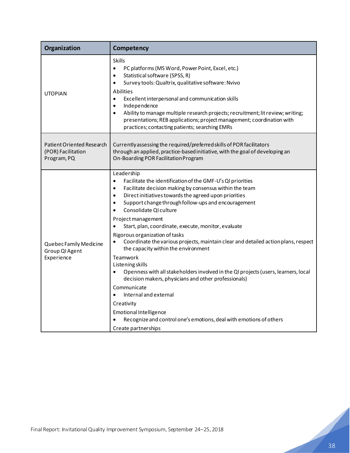| Organization                                                   | Competency                                                                                                                                                                                                                                                                                                                                                                                                                                                                                                                               |
|----------------------------------------------------------------|------------------------------------------------------------------------------------------------------------------------------------------------------------------------------------------------------------------------------------------------------------------------------------------------------------------------------------------------------------------------------------------------------------------------------------------------------------------------------------------------------------------------------------------|
| <b>UTOPIAN</b>                                                 | <b>Skills</b><br>PC platforms (MS Word, Power Point, Excel, etc.)<br>$\bullet$<br>Statistical software (SPSS, R)<br>$\bullet$<br>Survey tools: Qualtrix, qualitative software: Nvivo<br>$\bullet$<br>Abilities<br>Excellent interpersonal and communication skills<br>$\bullet$<br>Independence<br>$\bullet$<br>Ability to manage multiple research projects; recruitment; lit review; writing;<br>$\bullet$<br>presentations; REB applications; project management; coordination with<br>practices; contacting patients; searching EMRs |
| Patient Oriented Research<br>(POR) Facilitation<br>Program, PQ | Currently assessing the required/preferred skills of POR facilitators<br>through an applied, practice-based initiative, with the goal of developing an<br>On-Boarding POR Facilitation Program                                                                                                                                                                                                                                                                                                                                           |
| Quebec Family Medicine<br>Group QI Agent<br>Experience         | Leadership<br>Facilitate the identification of the GMF-U's QI priorities<br>$\bullet$<br>Facilitate decision making by consensus within the team<br>$\bullet$<br>Direct initiatives towards the agreed upon priorities<br>$\bullet$<br>Support change through follow-ups and encouragement<br>$\bullet$<br>Consolidate QI culture<br>$\bullet$<br>Project management<br>Start, plan, coordinate, execute, monitor, evaluate<br>Rigorous organization of tasks                                                                            |
|                                                                | Coordinate the various projects, maintain clear and detailed action plans, respect<br>$\bullet$<br>the capacity within the environment<br>Teamwork<br>Listening skills<br>Openness with all stakeholders involved in the QI projects (users, learners, local<br>decision makers, physicians and other professionals)<br>Communicate<br>Internal and external<br>Creativity<br><b>Emotional Intelligence</b><br>Recognize and control one's emotions, deal with emotions of others<br>Create partnerships                                 |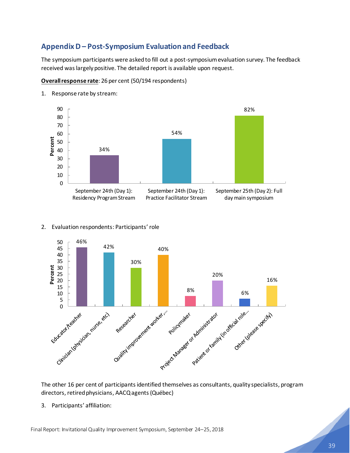# <span id="page-40-0"></span>**Appendix D – Post-Symposium Evaluation and Feedback**

The symposium participants were asked to fill out a post-symposium evaluation survey. The feedback received was largely positive. The detailed report is available upon request.

**Overall response rate**: 26 per cent (50/194 respondents)



1. Response rate by stream:

### 2. Evaluation respondents: Participants' role



The other 16 per cent of participants identified themselves as consultants, quality specialists, program directors, retired physicians, AACQ agents (Québec)

3. Participants' affiliation: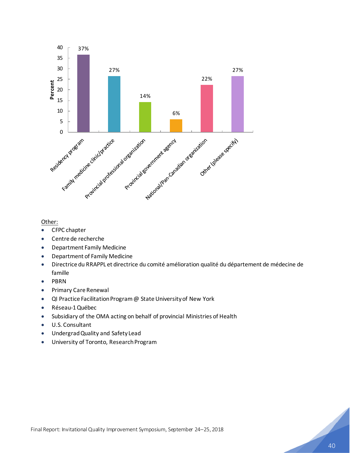

### Other:

- CFPC chapter
- Centre de recherche
- Department Family Medicine
- Department of Family Medicine
- Directrice du RRAPPL et directrice du comité amélioration qualité du département de médecine de famille
- PBRN
- Primary Care Renewal
- QI Practice Facilitation Program @ State University of New York
- Réseau-1 Québec
- Subsidiary of the OMA acting on behalf of provincial Ministries of Health
- U.S. Consultant
- Undergrad Quality and Safety Lead
- University of Toronto, Research Program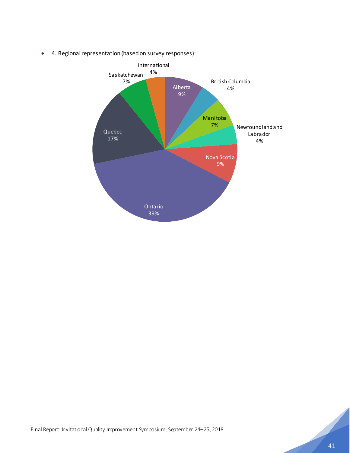

• 4. Regional representation (based on survey responses):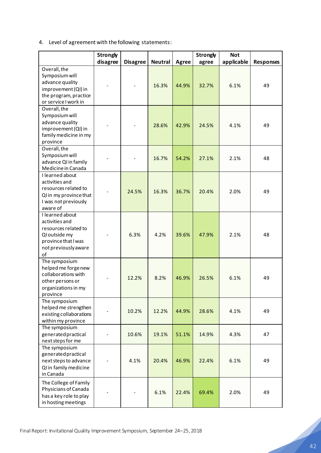4. Level of agreement with the following statements:

|                                                                                                                                 | <b>Strongly</b> |                 |                |       | <b>Strongly</b> | <b>Not</b> |                  |
|---------------------------------------------------------------------------------------------------------------------------------|-----------------|-----------------|----------------|-------|-----------------|------------|------------------|
|                                                                                                                                 | disagree        | <b>Disagree</b> | <b>Neutral</b> | Agree | agree           | applicable | <b>Responses</b> |
| Overall, the<br>Symposium will<br>advance quality<br>improvement (QI) in<br>the program, practice<br>or service I work in       |                 |                 | 16.3%          | 44.9% | 32.7%           | 6.1%       | 49               |
| Overall, the<br>Symposium will<br>advance quality<br>improvement (QI) in<br>family medicine in my<br>province                   |                 |                 | 28.6%          | 42.9% | 24.5%           | 4.1%       | 49               |
| Overall, the<br>Symposium will<br>advance QI in family<br>Medicine in Canada                                                    |                 |                 | 16.7%          | 54.2% | 27.1%           | 2.1%       | 48               |
| I learned about<br>activities and<br>resources related to<br>QI in my province that<br>I was not previously<br>aware of         |                 | 24.5%           | 16.3%          | 36.7% | 20.4%           | 2.0%       | 49               |
| I learned about<br>activities and<br>resources related to<br>QI outside my<br>province that I was<br>not previously aware<br>of |                 | 6.3%            | 4.2%           | 39.6% | 47.9%           | 2.1%       | 48               |
| The symposium<br>helped me forge new<br>collaborations with<br>other persons or<br>organizations in my<br>province              |                 | 12.2%           | 8.2%           | 46.9% | 26.5%           | 6.1%       | 49               |
| The symposium<br>helped me strengthen<br>existing collaborations<br>within my province                                          |                 | 10.2%           | 12.2%          | 44.9% | 28.6%           | 4.1%       | 49               |
| The symposium<br>generated practical<br>next steps for me                                                                       |                 | 10.6%           | 19.1%          | 51.1% | 14.9%           | 4.3%       | 47               |
| The symposium<br>generated practical<br>next steps to advance<br>QI in family medicine<br>in Canada                             |                 | 4.1%            | 20.4%          | 46.9% | 22.4%           | 6.1%       | 49               |
| The College of Family<br>Physicians of Canada<br>has a key role to play<br>in hosting meetings                                  |                 |                 | 6.1%           | 22.4% | 69.4%           | 2.0%       | 49               |